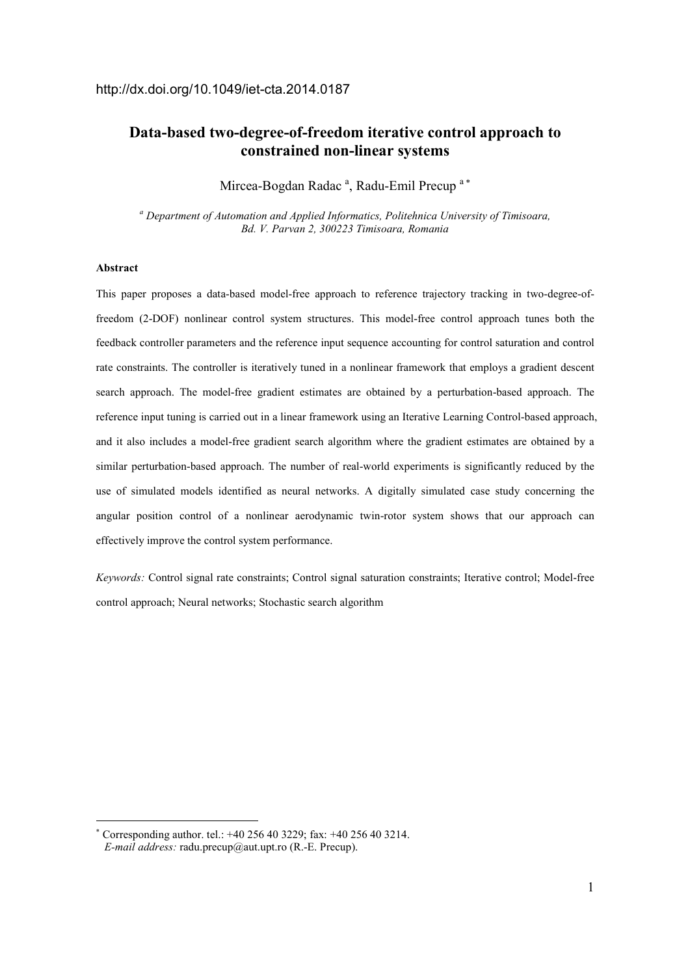# **Data-based two-degree-of-freedom iterative control approach to constrained non-linear systems**

Mircea-Bogdan Radac<sup>a</sup>, Radu-Emil Precup<sup>a\*</sup>

<sup>a</sup> Department of Automation and Applied Informatics, Politehnica University of Timisoara, *Bd. V. Parvan 2, 300223 Timisoara, Romania* 

## **Abstract**

-

This paper proposes a data-based model-free approach to reference trajectory tracking in two-degree-offreedom (2-DOF) nonlinear control system structures. This model-free control approach tunes both the feedback controller parameters and the reference input sequence accounting for control saturation and control rate constraints. The controller is iteratively tuned in a nonlinear framework that employs a gradient descent search approach. The model-free gradient estimates are obtained by a perturbation-based approach. The reference input tuning is carried out in a linear framework using an Iterative Learning Control-based approach, and it also includes a model-free gradient search algorithm where the gradient estimates are obtained by a similar perturbation-based approach. The number of real-world experiments is significantly reduced by the use of simulated models identified as neural networks. A digitally simulated case study concerning the angular position control of a nonlinear aerodynamic twin-rotor system shows that our approach can effectively improve the control system performance.

*Keywords:* Control signal rate constraints; Control signal saturation constraints; Iterative control; Model-free control approach; Neural networks; Stochastic search algorithm

<sup>∗</sup> Corresponding author. tel.: +40 256 40 3229; fax: +40 256 40 3214. *E-mail address:* radu.precup@aut.upt.ro (R.-E. Precup).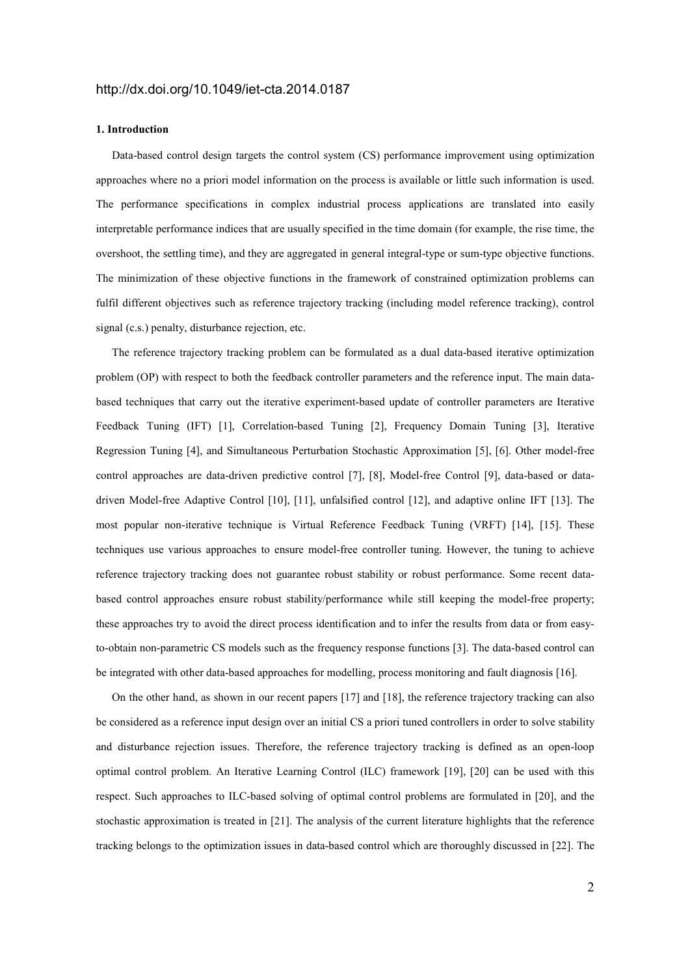### **1. Introduction**

Data-based control design targets the control system (CS) performance improvement using optimization approaches where no a priori model information on the process is available or little such information is used. The performance specifications in complex industrial process applications are translated into easily interpretable performance indices that are usually specified in the time domain (for example, the rise time, the overshoot, the settling time), and they are aggregated in general integral-type or sum-type objective functions. The minimization of these objective functions in the framework of constrained optimization problems can fulfil different objectives such as reference trajectory tracking (including model reference tracking), control signal (c.s.) penalty, disturbance rejection, etc.

The reference trajectory tracking problem can be formulated as a dual data-based iterative optimization problem (OP) with respect to both the feedback controller parameters and the reference input. The main databased techniques that carry out the iterative experiment-based update of controller parameters are Iterative Feedback Tuning (IFT) [1], Correlation-based Tuning [2], Frequency Domain Tuning [3], Iterative Regression Tuning [4], and Simultaneous Perturbation Stochastic Approximation [5], [6]. Other model-free control approaches are data-driven predictive control [7], [8], Model-free Control [9], data-based or datadriven Model-free Adaptive Control [10], [11], unfalsified control [12], and adaptive online IFT [13]. The most popular non-iterative technique is Virtual Reference Feedback Tuning (VRFT) [14], [15]. These techniques use various approaches to ensure model-free controller tuning. However, the tuning to achieve reference trajectory tracking does not guarantee robust stability or robust performance. Some recent databased control approaches ensure robust stability/performance while still keeping the model-free property; these approaches try to avoid the direct process identification and to infer the results from data or from easyto-obtain non-parametric CS models such as the frequency response functions [3]. The data-based control can be integrated with other data-based approaches for modelling, process monitoring and fault diagnosis [16].

On the other hand, as shown in our recent papers [17] and [18], the reference trajectory tracking can also be considered as a reference input design over an initial CS a priori tuned controllers in order to solve stability and disturbance rejection issues. Therefore, the reference trajectory tracking is defined as an open-loop optimal control problem. An Iterative Learning Control (ILC) framework [19], [20] can be used with this respect. Such approaches to ILC-based solving of optimal control problems are formulated in [20], and the stochastic approximation is treated in [21]. The analysis of the current literature highlights that the reference tracking belongs to the optimization issues in data-based control which are thoroughly discussed in [22]. The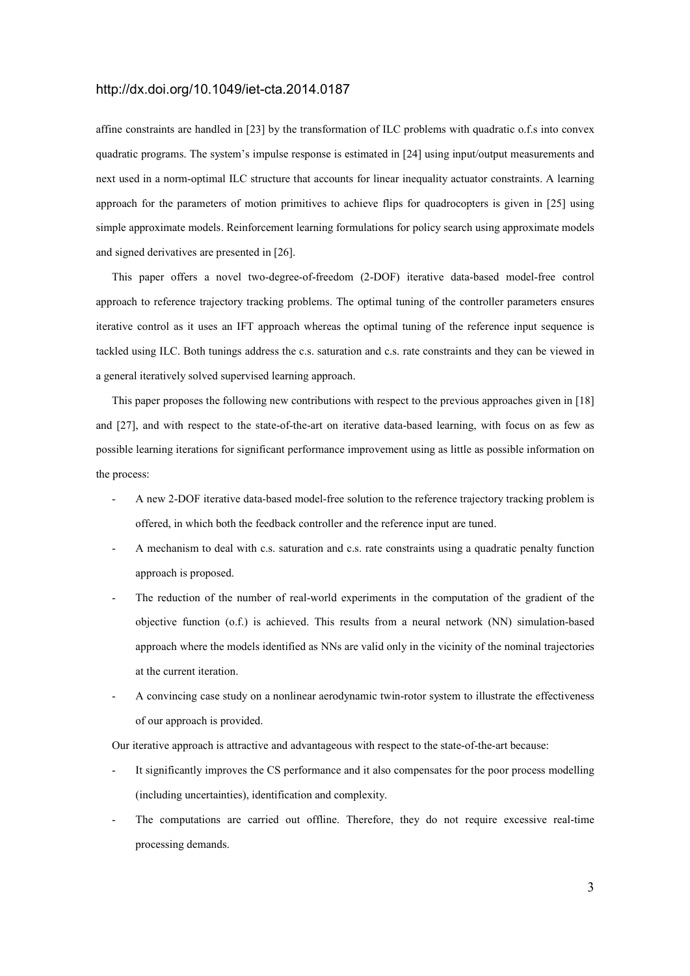affine constraints are handled in [23] by the transformation of ILC problems with quadratic o.f.s into convex quadratic programs. The system's impulse response is estimated in [24] using input/output measurements and next used in a norm-optimal ILC structure that accounts for linear inequality actuator constraints. A learning approach for the parameters of motion primitives to achieve flips for quadrocopters is given in [25] using simple approximate models. Reinforcement learning formulations for policy search using approximate models and signed derivatives are presented in [26].

This paper offers a novel two-degree-of-freedom (2-DOF) iterative data-based model-free control approach to reference trajectory tracking problems. The optimal tuning of the controller parameters ensures iterative control as it uses an IFT approach whereas the optimal tuning of the reference input sequence is tackled using ILC. Both tunings address the c.s. saturation and c.s. rate constraints and they can be viewed in a general iteratively solved supervised learning approach.

This paper proposes the following new contributions with respect to the previous approaches given in [18] and [27], and with respect to the state-of-the-art on iterative data-based learning, with focus on as few as possible learning iterations for significant performance improvement using as little as possible information on the process:

- A new 2-DOF iterative data-based model-free solution to the reference trajectory tracking problem is offered, in which both the feedback controller and the reference input are tuned.
- A mechanism to deal with c.s. saturation and c.s. rate constraints using a quadratic penalty function approach is proposed.
- The reduction of the number of real-world experiments in the computation of the gradient of the objective function (o.f.) is achieved. This results from a neural network (NN) simulation-based approach where the models identified as NNs are valid only in the vicinity of the nominal trajectories at the current iteration.
- A convincing case study on a nonlinear aerodynamic twin-rotor system to illustrate the effectiveness of our approach is provided.

Our iterative approach is attractive and advantageous with respect to the state-of-the-art because:

- It significantly improves the CS performance and it also compensates for the poor process modelling (including uncertainties), identification and complexity.
- The computations are carried out offline. Therefore, they do not require excessive real-time processing demands.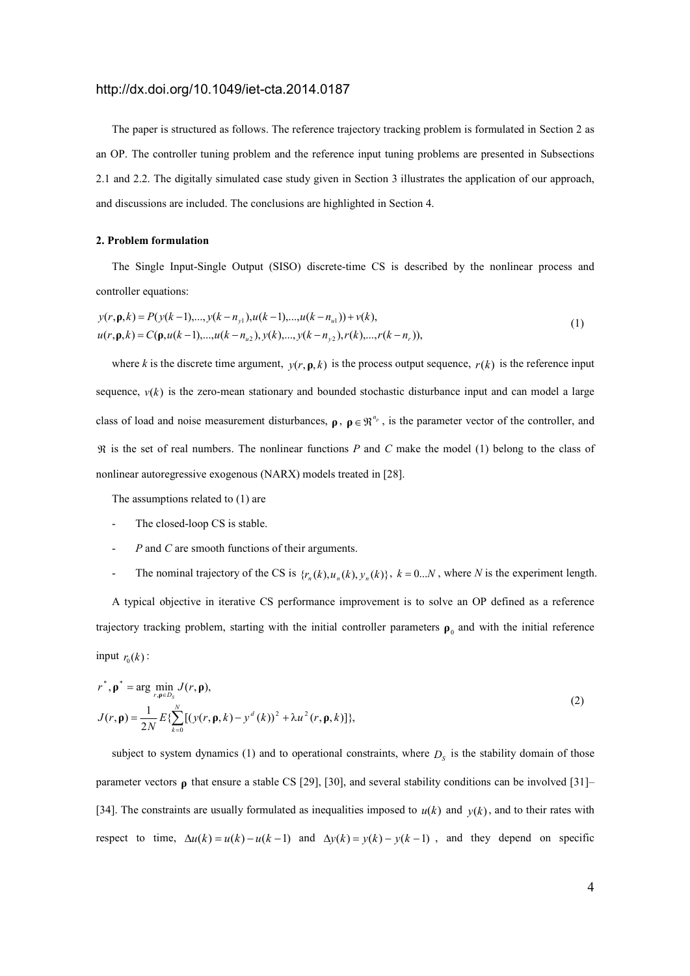The paper is structured as follows. The reference trajectory tracking problem is formulated in Section 2 as an OP. The controller tuning problem and the reference input tuning problems are presented in Subsections 2.1 and 2.2. The digitally simulated case study given in Section 3 illustrates the application of our approach, and discussions are included. The conclusions are highlighted in Section 4.

## **2. Problem formulation**

The Single Input-Single Output (SISO) discrete-time CS is described by the nonlinear process and controller equations:

$$
y(r, \mathbf{p}, k) = P(y(k-1), ..., y(k-n_{y1}), u(k-1), ..., u(k-n_{u1})) + v(k),
$$
  
\n
$$
u(r, \mathbf{p}, k) = C(\mathbf{p}, u(k-1), ..., u(k-n_{u2}), y(k), ..., y(k-n_{y2}), r(k), ..., r(k-n_{r})),
$$
\n(1)

where *k* is the discrete time argument,  $y(r, \rho, k)$  is the process output sequence,  $r(k)$  is the reference input sequence,  $v(k)$  is the zero-mean stationary and bounded stochastic disturbance input and can model a large class of load and noise measurement disturbances,  $\rho$ ,  $\rho \in \mathbb{R}^{n_p}$ , is the parameter vector of the controller, and ℜ is the set of real numbers. The nonlinear functions *P* and *C* make the model (1) belong to the class of nonlinear autoregressive exogenous (NARX) models treated in [28].

The assumptions related to (1) are

- The closed-loop CS is stable.
- *P* and *C* are smooth functions of their arguments.
- The nominal trajectory of the CS is  $\{r_n(k), u_n(k), y_n(k)\}$ ,  $k = 0...N$ , where *N* is the experiment length.

A typical objective in iterative CS performance improvement is to solve an OP defined as a reference trajectory tracking problem, starting with the initial controller parameters  $\rho_0$  and with the initial reference input  $r_0(k)$ :

$$
r^*, \mathbf{p}^* = \arg \min_{r, \mathbf{p} \in D_S} J(r, \mathbf{p}),
$$
  
\n
$$
J(r, \mathbf{p}) = \frac{1}{2N} E \{ \sum_{k=0}^{N} [(y(r, \mathbf{p}, k) - y^d(k))^2 + \lambda u^2(r, \mathbf{p}, k)] \},
$$
\n(2)

subject to system dynamics (1) and to operational constraints, where  $D<sub>S</sub>$  is the stability domain of those parameter vectors **ρ** that ensure a stable CS [29], [30], and several stability conditions can be involved [31]– [34]. The constraints are usually formulated as inequalities imposed to  $u(k)$  and  $y(k)$ , and to their rates with *respect to time,*  $\Delta u(k) = u(k) - u(k-1)$  and  $\Delta y(k) = y(k) - y(k-1)$ , and they depend on specific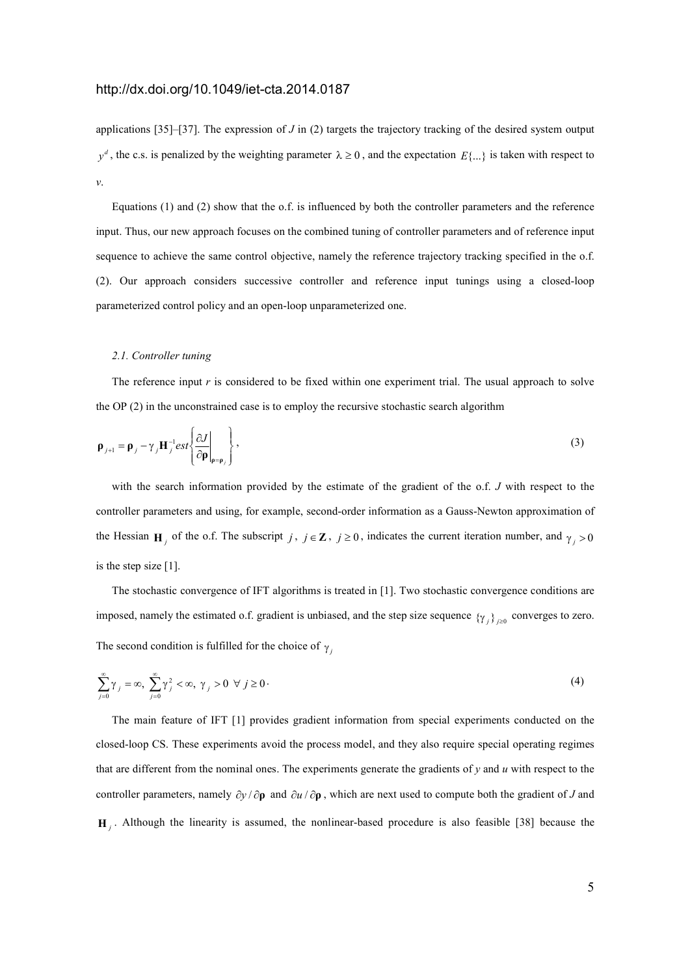applications [35]–[37]. The expression of *J* in (2) targets the trajectory tracking of the desired system output  $y^d$ , the c.s. is penalized by the weighting parameter  $\lambda \ge 0$ , and the expectation  $E\{\ldots\}$  is taken with respect to *v*.

Equations (1) and (2) show that the o.f. is influenced by both the controller parameters and the reference input. Thus, our new approach focuses on the combined tuning of controller parameters and of reference input sequence to achieve the same control objective, namely the reference trajectory tracking specified in the o.f. (2). Our approach considers successive controller and reference input tunings using a closed-loop parameterized control policy and an open-loop unparameterized one.

## *2.1. Controller tuning*

The reference input *r* is considered to be fixed within one experiment trial. The usual approach to solve the OP (2) in the unconstrained case is to employ the recursive stochastic search algorithm

$$
\mathbf{p}_{j+1} = \mathbf{p}_j - \gamma_j \mathbf{H}_j^{-1} \text{est}\left\{\frac{\partial J}{\partial \mathbf{p}}\bigg|_{\mathbf{p} = \mathbf{p}_j}\right\},\tag{3}
$$

with the search information provided by the estimate of the gradient of the o.f. *J* with respect to the controller parameters and using, for example, second-order information as a Gauss-Newton approximation of the Hessian **H**<sub>*j*</sub> of the o.f. The subscript *j*,  $j \in \mathbb{Z}$ ,  $j \ge 0$ , indicates the current iteration number, and  $\gamma_j > 0$ is the step size [1].

The stochastic convergence of IFT algorithms is treated in [1]. Two stochastic convergence conditions are imposed, namely the estimated o.f. gradient is unbiased, and the step size sequence  $\{\gamma_j\}_{j\geq0}$  converges to zero. The second condition is fulfilled for the choice of  $\gamma$ <sub>*j*</sub>

$$
\sum_{j=0}^{\infty} \gamma_j = \infty, \ \sum_{j=0}^{\infty} \gamma_j^2 < \infty, \ \gamma_j > 0 \ \forall \ j \ge 0 \tag{4}
$$

The main feature of IFT [1] provides gradient information from special experiments conducted on the closed-loop CS. These experiments avoid the process model, and they also require special operating regimes that are different from the nominal ones. The experiments generate the gradients of *y* and *u* with respect to the controller parameters, namely ∂*y* / ∂**ρ** and ∂*u* / ∂**ρ** , which are next used to compute both the gradient of *J* and  $\mathbf{H}_j$ . Although the linearity is assumed, the nonlinear-based procedure is also feasible [38] because the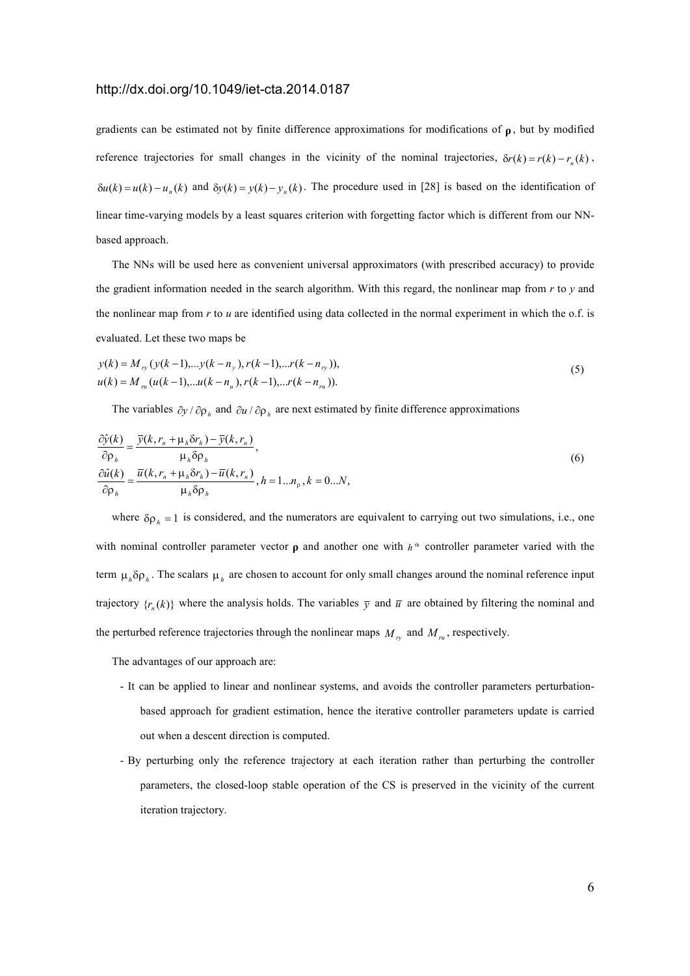gradients can be estimated not by finite difference approximations for modifications of **ρ** , but by modified reference trajectories for small changes in the vicinity of the nominal trajectories,  $\delta r(k) = r(k) - r_n(k)$ ,  $\delta u(k) = u(k) - u_n(k)$  and  $\delta y(k) = y(k) - y_n(k)$ . The procedure used in [28] is based on the identification of linear time-varying models by a least squares criterion with forgetting factor which is different from our NNbased approach.

The NNs will be used here as convenient universal approximators (with prescribed accuracy) to provide the gradient information needed in the search algorithm. With this regard, the nonlinear map from *r* to *y* and the nonlinear map from *r* to *u* are identified using data collected in the normal experiment in which the o.f. is evaluated. Let these two maps be

$$
y(k) = M_{ry} (y(k-1)...y(k-n_y), r(k-1)...r(k-n_y)),
$$
  
\n
$$
u(k) = M_{ru} (u(k-1)...u(k-n_u), r(k-1)...r(k-n_u)).
$$
\n(5)

The variables  $\partial y / \partial \rho_h$  and  $\partial u / \partial \rho_h$  are next estimated by finite difference approximations

$$
\frac{\partial \hat{y}(k)}{\partial \rho_h} = \frac{\overline{y}(k, r_n + \mu_h \delta r_h) - \overline{y}(k, r_n)}{\mu_h \delta \rho_h},
$$
  
\n
$$
\frac{\partial \hat{u}(k)}{\partial \rho_h} = \frac{\overline{u}(k, r_n + \mu_h \delta r_h) - \overline{u}(k, r_n)}{\mu_h \delta \rho_h}, h = 1...n_p, k = 0...N,
$$
\n(6)

where  $\delta \rho_h = 1$  is considered, and the numerators are equivalent to carrying out two simulations, i.e., one with nominal controller parameter vector  $\rho$  and another one with  $h^{\text{th}}$  controller parameter varied with the term  $\mu_h \delta \rho_h$ . The scalars  $\mu_h$  are chosen to account for only small changes around the nominal reference input trajectory  $\{r_n(k)\}\$  where the analysis holds. The variables  $\bar{y}$  and  $\bar{u}$  are obtained by filtering the nominal and the perturbed reference trajectories through the nonlinear maps  $M_{r_y}$  and  $M_{ru}$ , respectively.

The advantages of our approach are:

- It can be applied to linear and nonlinear systems, and avoids the controller parameters perturbationbased approach for gradient estimation, hence the iterative controller parameters update is carried out when a descent direction is computed.
- By perturbing only the reference trajectory at each iteration rather than perturbing the controller parameters, the closed-loop stable operation of the CS is preserved in the vicinity of the current iteration trajectory.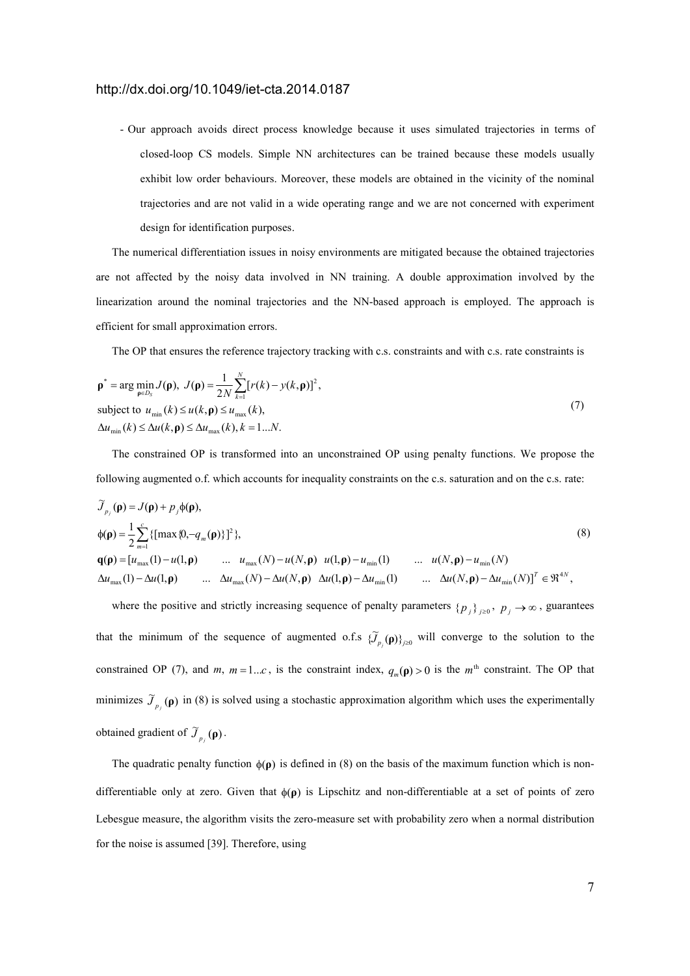- Our approach avoids direct process knowledge because it uses simulated trajectories in terms of closed-loop CS models. Simple NN architectures can be trained because these models usually exhibit low order behaviours. Moreover, these models are obtained in the vicinity of the nominal trajectories and are not valid in a wide operating range and we are not concerned with experiment design for identification purposes.

The numerical differentiation issues in noisy environments are mitigated because the obtained trajectories are not affected by the noisy data involved in NN training. A double approximation involved by the linearization around the nominal trajectories and the NN-based approach is employed. The approach is efficient for small approximation errors.

The OP that ensures the reference trajectory tracking with c.s. constraints and with c.s. rate constraints is

$$
\mathbf{p}^* = \arg \min_{\mathbf{p} \in D_S} J(\mathbf{p}), \ J(\mathbf{p}) = \frac{1}{2N} \sum_{k=1}^N [r(k) - y(k, \mathbf{p})]^2,
$$
  
subject to  $u_{\min}(k) \le u(k, \mathbf{p}) \le u_{\max}(k),$   

$$
\Delta u_{\min}(k) \le \Delta u(k, \mathbf{p}) \le \Delta u_{\max}(k), k = 1...N.
$$
 (7)

The constrained OP is transformed into an unconstrained OP using penalty functions. We propose the following augmented o.f. which accounts for inequality constraints on the c.s. saturation and on the c.s. rate:

$$
\widetilde{J}_{p_j}(\mathbf{p}) = J(\mathbf{p}) + p_j \phi(\mathbf{p}),
$$
\n
$$
\phi(\mathbf{p}) = \frac{1}{2} \sum_{m=1}^{c} \{ [\max \{0, -q_m(\mathbf{p})\}]^2 \},
$$
\n
$$
\mathbf{q}(\mathbf{p}) = [u_{\max}(1) - u(1, \mathbf{p}) \quad \dots \quad u_{\max}(N) - u(N, \mathbf{p}) \quad u(1, \mathbf{p}) - u_{\min}(1) \quad \dots \quad u(N, \mathbf{p}) - u_{\min}(N)
$$
\n
$$
\Delta u_{\max}(1) - \Delta u(1, \mathbf{p}) \quad \dots \quad \Delta u_{\max}(N) - \Delta u(N, \mathbf{p}) \quad \Delta u(1, \mathbf{p}) - \Delta u_{\min}(1) \quad \dots \quad \Delta u(N, \mathbf{p}) - \Delta u_{\min}(N) \}^T \in \mathfrak{R}^{4N},
$$
\n(8)

where the positive and strictly increasing sequence of penalty parameters  $\{p_j\}_{j\geq 0}$ ,  $p_j \to \infty$ , guarantees that the minimum of the sequence of augmented o.f.s  ${\{\widetilde{J}_{p_j}(\rho)\}}_{j\geq 0}$  will converge to the solution to the constrained OP (7), and *m*,  $m = 1...c$ , is the constraint index,  $q_m(\mathbf{p}) > 0$  is the  $m^{\text{th}}$  constraint. The OP that minimizes  $\tilde{J}_{p_j}(\rho)$  in (8) is solved using a stochastic approximation algorithm which uses the experimentally obtained gradient of  $\widetilde{J}_{p_j}(\mathbf{p})$ .

The quadratic penalty function  $\phi(\rho)$  is defined in (8) on the basis of the maximum function which is nondifferentiable only at zero. Given that φ(**ρ**) is Lipschitz and non-differentiable at a set of points of zero Lebesgue measure, the algorithm visits the zero-measure set with probability zero when a normal distribution for the noise is assumed [39]. Therefore, using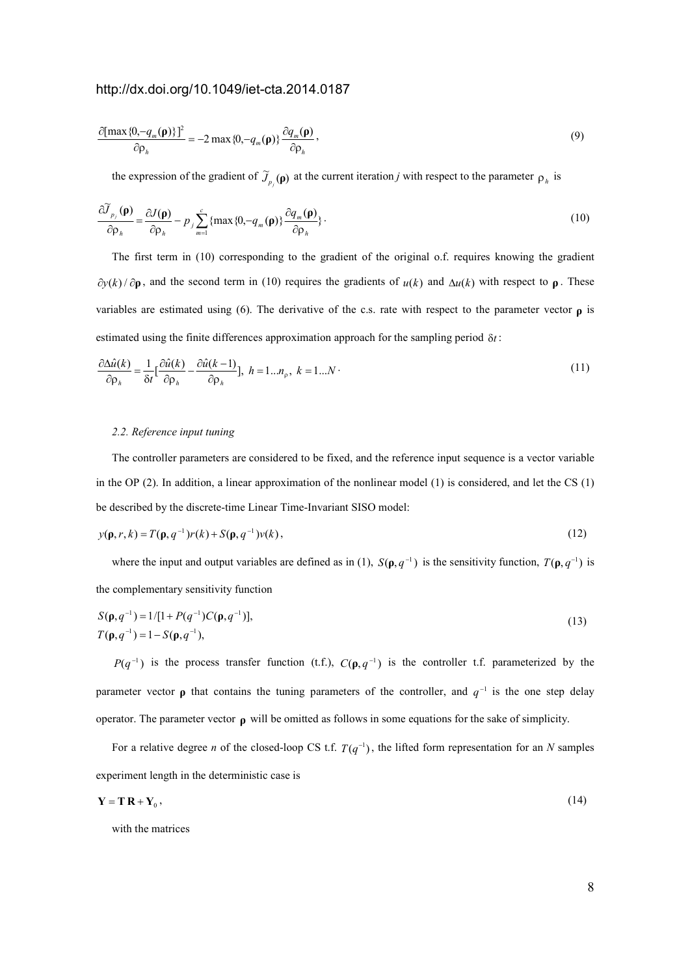$$
\frac{\partial[\max\{0, -q_m(\mathbf{p})\}]^2}{\partial \rho_h} = -2 \max\{0, -q_m(\mathbf{p})\} \frac{\partial q_m(\mathbf{p})}{\partial \rho_h},\tag{9}
$$

the expression of the gradient of  $\tilde{J}_{p_j}(\rho)$  at the current iteration *j* with respect to the parameter  $\rho_h$  is

$$
\frac{\partial \widetilde{J}_{p_j}(\mathbf{\rho})}{\partial \rho_h} = \frac{\partial J(\mathbf{\rho})}{\partial \rho_h} - p_j \sum_{m=1}^c \{ \max\{0, -q_m(\mathbf{\rho})\} \frac{\partial q_m(\mathbf{\rho})}{\partial \rho_h} \} \,. \tag{10}
$$

The first term in (10) corresponding to the gradient of the original o.f. requires knowing the gradient  $∂y(k)/∂ρ$ , and the second term in (10) requires the gradients of  $u(k)$  and  $∆u(k)$  with respect to  $ρ$ . These variables are estimated using (6). The derivative of the c.s. rate with respect to the parameter vector **ρ** is estimated using the finite differences approximation approach for the sampling period δ*t* :

$$
\frac{\partial \Delta \hat{u}(k)}{\partial \rho_h} = \frac{1}{\delta t} \left[ \frac{\partial \hat{u}(k)}{\partial \rho_h} - \frac{\partial \hat{u}(k-1)}{\partial \rho_h} \right], \quad h = 1...n_\rho, \quad k = 1...N \tag{11}
$$

### *2.2. Reference input tuning*

The controller parameters are considered to be fixed, and the reference input sequence is a vector variable in the OP (2). In addition, a linear approximation of the nonlinear model (1) is considered, and let the CS (1) be described by the discrete-time Linear Time-Invariant SISO model:

$$
y(\mathbf{p}, r, k) = T(\mathbf{p}, q^{-1})r(k) + S(\mathbf{p}, q^{-1})v(k),
$$
\n(12)

where the input and output variables are defined as in (1),  $S(\rho, q^{-1})$  is the sensitivity function,  $T(\rho, q^{-1})$  is the complementary sensitivity function

$$
S(\mathbf{p}, q^{-1}) = 1/[1 + P(q^{-1})C(\mathbf{p}, q^{-1})],
$$
  
\n
$$
T(\mathbf{p}, q^{-1}) = 1 - S(\mathbf{p}, q^{-1}),
$$
\n(13)

 $P(q^{-1})$  is the process transfer function (t.f.),  $C(\rho, q^{-1})$  is the controller t.f. parameterized by the parameter vector  $\rho$  that contains the tuning parameters of the controller, and  $q^{-1}$  is the one step delay operator. The parameter vector **ρ** will be omitted as follows in some equations for the sake of simplicity.

For a relative degree *n* of the closed-loop CS t.f.  $T(q^{-1})$ , the lifted form representation for an *N* samples experiment length in the deterministic case is

$$
\mathbf{Y} = \mathbf{T} \, \mathbf{R} + \mathbf{Y}_0 \,,\tag{14}
$$

with the matrices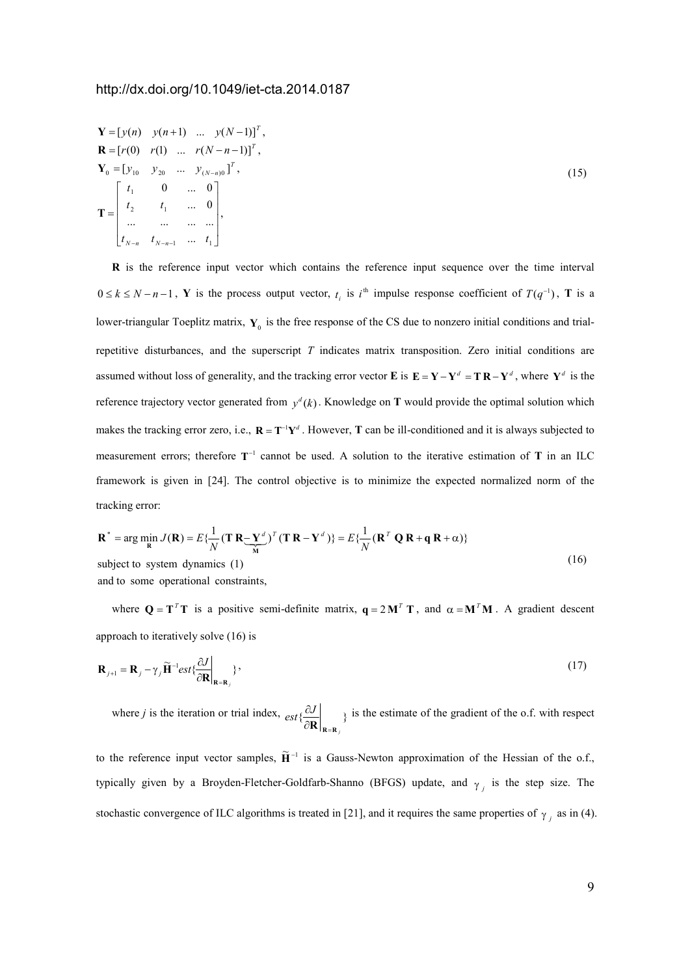$$
\mathbf{Y} = [y(n) \quad y(n+1) \quad \dots \quad y(N-1)]^T,
$$
\n
$$
\mathbf{R} = [r(0) \quad r(1) \quad \dots \quad r(N-n-1)]^T,
$$
\n
$$
\mathbf{Y}_0 = [y_{10} \quad y_{20} \quad \dots \quad y_{(N-n)0}]^T,
$$
\n
$$
\mathbf{T} = \begin{bmatrix} t_1 & 0 & \dots & 0 \\ t_2 & t_1 & \dots & 0 \\ \dots & \dots & \dots & \dots \\ t_{N-n} & t_{N-n-1} & \dots & t_1 \end{bmatrix},
$$
\n(15)

**R** is the reference input vector which contains the reference input sequence over the time interval  $0 \le k \le N - n - 1$ , Y is the process output vector,  $t_i$  is  $i^{\text{th}}$  impulse response coefficient of  $T(q^{-1})$ , T is a lower-triangular Toeplitz matrix,  $Y_0$  is the free response of the CS due to nonzero initial conditions and trialrepetitive disturbances, and the superscript *T* indicates matrix transposition. Zero initial conditions are assumed without loss of generality, and the tracking error vector **E** is  $E = Y - Y^d = TR - Y^d$ , where  $Y^d$  is the reference trajectory vector generated from  $y^d(k)$ . Knowledge on **T** would provide the optimal solution which makes the tracking error zero, i.e.,  $\mathbf{R} = \mathbf{T}^{-1} \mathbf{Y}^d$ . However, **T** can be ill-conditioned and it is always subjected to measurement errors; therefore T<sup>-1</sup> cannot be used. A solution to the iterative estimation of T in an ILC framework is given in [24]. The control objective is to minimize the expected normalized norm of the tracking error:

$$
\mathbf{R}^* = \arg\min_{\mathbf{R}} J(\mathbf{R}) = E\{\frac{1}{N}(\mathbf{T}\,\mathbf{R} - \mathbf{Y}^d)^T(\mathbf{T}\,\mathbf{R} - \mathbf{Y}^d)\} = E\{\frac{1}{N}(\mathbf{R}^T\,\mathbf{Q}\,\mathbf{R} + \mathbf{q}\,\mathbf{R} + \alpha)\}\
$$
subject to system dynamics (1) (16)

and to some operational constraints,

where  $Q = T^T T$  is a positive semi-definite matrix,  $q = 2M^T T$ , and  $\alpha = M^T M$ . A gradient descent approach to iteratively solve (16) is

$$
\mathbf{R}_{j+1} = \mathbf{R}_j - \gamma_j \widetilde{\mathbf{H}}^{-1} est \left\{ \frac{\partial J}{\partial \mathbf{R}} \bigg|_{\mathbf{R} = \mathbf{R}_j} \right\},\tag{17}
$$

where *j* is the iteration or trial index,  $ext{ext}$   $\left\{\frac{cJ}{2R}\right\}$  } *j*  $\left. \frac{\partial J}{\partial \mathbf{R}} \right|_{\mathbf{R} = \mathbf{R}}$  $\partial J$  is the estimate of the gradient of the o.f. with respect

to the reference input vector samples,  $\tilde{H}^{-1}$  is a Gauss-Newton approximation of the Hessian of the o.f., typically given by a Broyden-Fletcher-Goldfarb-Shanno (BFGS) update, and  $\gamma$ <sub>*j*</sub> is the step size. The stochastic convergence of ILC algorithms is treated in [21], and it requires the same properties of  $\gamma_j$  as in (4).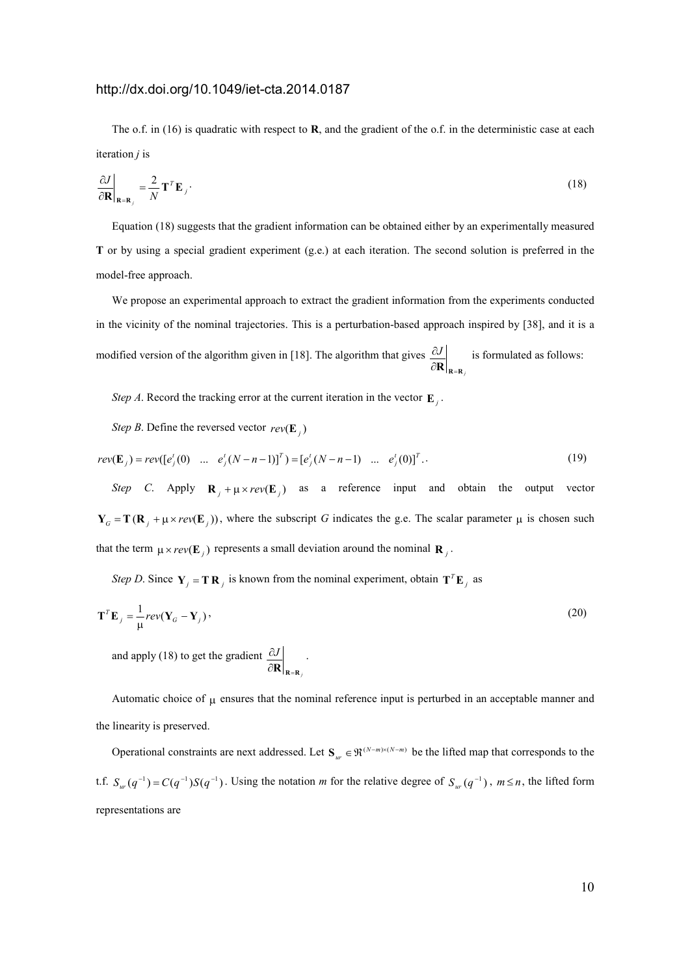The o.f. in (16) is quadratic with respect to **R**, and the gradient of the o.f. in the deterministic case at each iteration *j* is

$$
\left. \frac{\partial J}{\partial \mathbf{R}} \right|_{\mathbf{R} = \mathbf{R}_j} = \frac{2}{N} \mathbf{T}^T \mathbf{E}_j \tag{18}
$$

Equation (18) suggests that the gradient information can be obtained either by an experimentally measured **T** or by using a special gradient experiment (g.e.) at each iteration. The second solution is preferred in the model-free approach.

We propose an experimental approach to extract the gradient information from the experiments conducted in the vicinity of the nominal trajectories. This is a perturbation-based approach inspired by [38], and it is a modified version of the algorithm given in [18]. The algorithm that gives *j J* ∂**R <sup>R</sup>**=**<sup>R</sup>**  $\partial J$  is formulated as follows:

*Step A*. Record the tracking error at the current iteration in the vector  $\mathbf{E}_j$ .

*Step B*. Define the reversed vector  $rev(\mathbf{E}_j)$ 

$$
rev(\mathbf{E}_{j}) = rev([e'_{j}(0) \dots e'_{j}(N-n-1)]^{T}) = [e'_{j}(N-n-1) \dots e'_{j}(0)]^{T}.
$$
\n(19)

*Step C*. Apply  $\mathbf{R}_i + \mu \times rev(\mathbf{E}_i)$  as a reference input and obtain the output vector  $Y_G = T(R_i + \mu \times rev(E_i))$ , where the subscript *G* indicates the g.e. The scalar parameter  $\mu$  is chosen such that the term  $\mu \times rev(\mathbf{E}_j)$  represents a small deviation around the nominal  $\mathbf{R}_j$ .

*Step D*. Since  $Y_j = T R_j$  is known from the nominal experiment, obtain  $T^T E_j$  as

*j*

$$
\mathbf{T}^T \mathbf{E}_j = \frac{1}{\mu} rev(\mathbf{Y}_G - \mathbf{Y}_j),
$$
 (20)

and apply (18) to get the gradient *J* ∂**R <sup>R</sup>**=**<sup>R</sup>**  $\partial J$  .

Automatic choice of  $\mu$  ensures that the nominal reference input is perturbed in an acceptable manner and the linearity is preserved.

Operational constraints are next addressed. Let  $S_w \in \mathfrak{R}^{(N-m)\times(N-m)}$  be the lifted map that corresponds to the t.f.  $S_w(q^{-1}) = C(q^{-1})S(q^{-1})$ . Using the notation *m* for the relative degree of  $S_w(q^{-1})$ ,  $m \le n$ , the lifted form representations are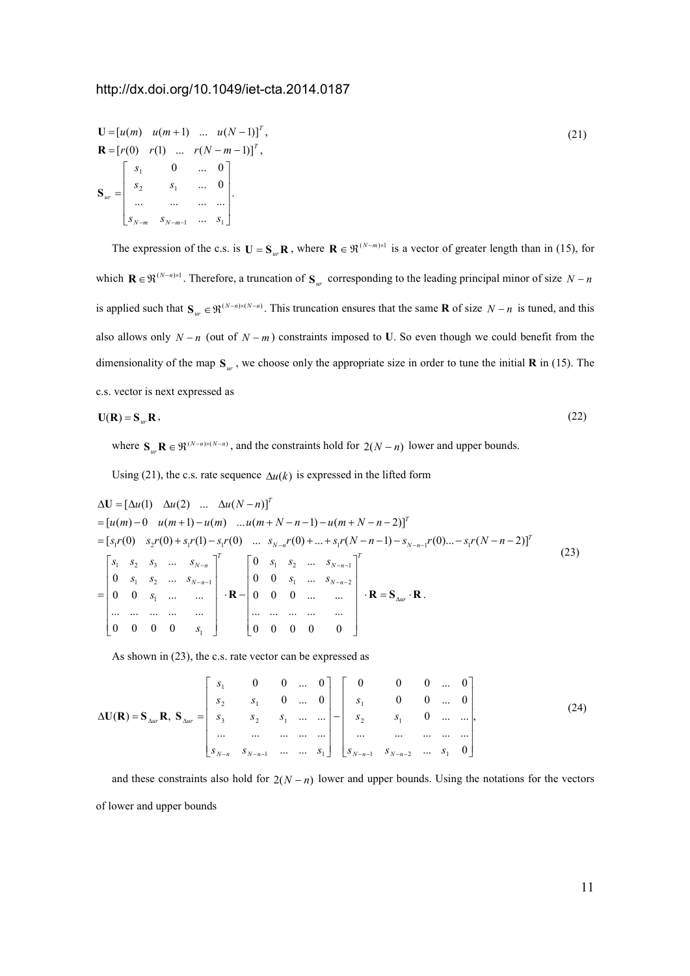$$
\mathbf{U} = [u(m) \quad u(m+1) \quad \dots \quad u(N-1)]^T,
$$
  
\n
$$
\mathbf{R} = [r(0) \quad r(1) \quad \dots \quad r(N-m-1)]^T,
$$
  
\n
$$
\mathbf{S}_{ur} = \begin{bmatrix} s_1 & 0 & \dots & 0 \\ s_2 & s_1 & \dots & 0 \\ \dots & \dots & \dots & \dots \\ s_{N-m} & s_{N-m-1} & \dots & s_1 \end{bmatrix}.
$$
  
\n(21)

The expression of the c.s. is  $U = S_{ur}R$ , where  $R \in \mathbb{R}^{(N-m)\times 1}$  is a vector of greater length than in (15), for which  $\mathbf{R} \in \mathfrak{R}^{(N-n)\times 1}$ . Therefore, a truncation of  $\mathbf{S}_{ur}$  corresponding to the leading principal minor of size  $N - n$ is applied such that  $S_w \in \mathfrak{R}^{(N-n)\times(N-n)}$ . This truncation ensures that the same **R** of size  $N - n$  is tuned, and this also allows only  $N - n$  (out of  $N - m$ ) constraints imposed to U. So even though we could benefit from the dimensionality of the map **S***ur* , we choose only the appropriate size in order to tune the initial **R** in (15). The c.s. vector is next expressed as

$$
\mathbf{U}(\mathbf{R}) = \mathbf{S}_{ur} \mathbf{R} \,,\tag{22}
$$

where  $S_{ur}$ **R**  $\in \mathfrak{R}^{(N-n)\times(N-n)}$ , and the constraints hold for  $2(N-n)$  lower and upper bounds.

Using (21), the c.s. rate sequence  $\Delta u(k)$  is expressed in the lifted form

$$
\Delta \mathbf{U} = [\Delta u(1) \quad \Delta u(2) \quad \dots \quad \Delta u(N-n)]^T
$$
  
\n=  $[u(m) - 0 \quad u(m+1) - u(m) \quad \dots u(m+N-n-1) - u(m+N-n-2)]^T$   
\n=  $[s_1 r(0) \quad s_2 r(0) + s_1 r(1) - s_1 r(0) \quad \dots \quad s_{N-n} r(0) + \dots + s_1 r(N-n-1) - s_{N-n-1} r(0) \dots - s_1 r(N-n-2)]^T$   
\n
$$
= \begin{bmatrix} s_1 & s_2 & s_3 & \dots & s_{N-n} \\ 0 & s_1 & s_2 & \dots & s_{N-n-1} \\ 0 & 0 & s_1 & \dots & \dots & \vdots \\ 0 & 0 & 0 & 0 & \dots & \dots & \vdots \\ \dots & \dots & \dots & \dots & \dots & \dots & \dots \\ 0 & 0 & 0 & 0 & s_1 & \dots & \dots & \dots \\ \vdots & \dots & \dots & \dots & \dots & \dots & \dots & \dots \\ 0 & 0 & 0 & 0 & 0 & 0 & 0 \end{bmatrix}^T
$$
 (23)

As shown in (23), the c.s. rate vector can be expressed as

$$
\Delta \mathbf{U}(\mathbf{R}) = \mathbf{S}_{\Delta u r} \mathbf{R}, \ \mathbf{S}_{\Delta u r} = \begin{bmatrix} s_1 & 0 & 0 & \dots & 0 \\ s_2 & s_1 & 0 & \dots & 0 \\ s_3 & s_2 & s_1 & \dots & \dots \\ \dots & \dots & \dots & \dots & \dots \\ s_{N-n} & s_{N-n-1} & \dots & \dots & s_1 \end{bmatrix} - \begin{bmatrix} 0 & 0 & 0 & \dots & 0 \\ s_1 & 0 & 0 & \dots & 0 \\ s_2 & s_1 & 0 & \dots & \dots \\ \dots & \dots & \dots & \dots & \dots \\ s_{N-n-1} & s_{N-n-2} & \dots & s_1 & 0 \end{bmatrix},
$$
(24)

and these constraints also hold for  $2(N - n)$  lower and upper bounds. Using the notations for the vectors of lower and upper bounds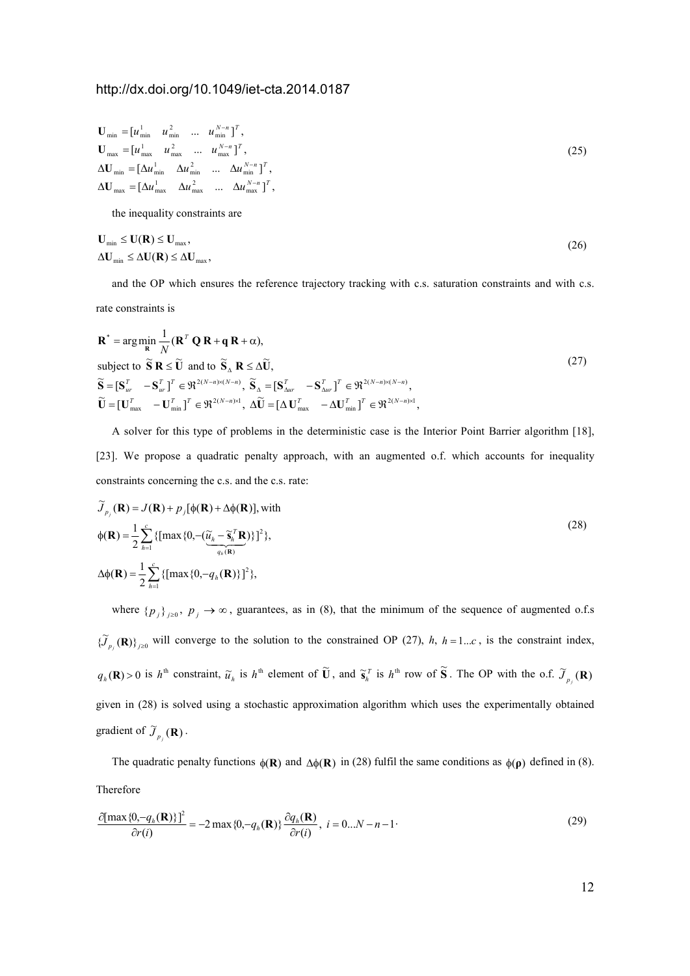$$
\mathbf{U}_{\text{min}} = [u_{\text{min}}^1 \quad u_{\text{min}}^2 \quad \dots \quad u_{\text{min}}^{N-n}]^T,
$$
\n
$$
\mathbf{U}_{\text{max}} = [u_{\text{max}}^1 \quad u_{\text{max}}^2 \quad \dots \quad u_{\text{max}}^{N-n}]^T,
$$
\n
$$
\Delta \mathbf{U}_{\text{min}} = [\Delta u_{\text{min}}^1 \quad \Delta u_{\text{min}}^2 \quad \dots \quad \Delta u_{\text{min}}^{N-n}]^T,
$$
\n
$$
\Delta \mathbf{U}_{\text{max}} = [\Delta u_{\text{max}}^1 \quad \Delta u_{\text{max}}^2 \quad \dots \quad \Delta u_{\text{max}}^{N-n}]^T,
$$
\n(25)

the inequality constraints are

$$
\mathbf{U}_{\min} \le \mathbf{U}(\mathbf{R}) \le \mathbf{U}_{\max},
$$
\n
$$
\Delta \mathbf{U}_{\min} \le \Delta \mathbf{U}(\mathbf{R}) \le \Delta \mathbf{U}_{\max},
$$
\n(26)

and the OP which ensures the reference trajectory tracking with c.s. saturation constraints and with c.s. rate constraints is

$$
\mathbf{R}^* = \arg\min_{\mathbf{R}} \frac{1}{N} (\mathbf{R}^T \mathbf{Q} \mathbf{R} + \mathbf{q} \mathbf{R} + \alpha),
$$
  
\nsubject to  $\tilde{\mathbf{S}} \mathbf{R} \leq \tilde{\mathbf{U}}$  and to  $\tilde{\mathbf{S}}_{\Delta} \mathbf{R} \leq \Delta \tilde{\mathbf{U}},$   
\n
$$
\tilde{\mathbf{S}} = [\mathbf{S}_{ur}^T - \mathbf{S}_{ur}^T]^T \in \mathfrak{R}^{2(N-n)\times(N-n)}, \ \tilde{\mathbf{S}}_{\Delta} = [\mathbf{S}_{\Delta ur}^T - \mathbf{S}_{\Delta ur}^T]^T \in \mathfrak{R}^{2(N-n)\times(N-n)},
$$
  
\n
$$
\tilde{\mathbf{U}} = [\mathbf{U}_{\text{max}}^T - \mathbf{U}_{\text{min}}^T]^T \in \mathfrak{R}^{2(N-n)\times 1}, \ \Delta \tilde{\mathbf{U}} = [\Delta \mathbf{U}_{\text{max}}^T - \Delta \mathbf{U}_{\text{min}}^T]^T \in \mathfrak{R}^{2(N-n)\times 1},
$$
\n(27)

A solver for this type of problems in the deterministic case is the Interior Point Barrier algorithm [18], [23]. We propose a quadratic penalty approach, with an augmented o.f. which accounts for inequality constraints concerning the c.s. and the c.s. rate:

$$
\widetilde{J}_{p_j}(\mathbf{R}) = J(\mathbf{R}) + p_j[\phi(\mathbf{R}) + \Delta\phi(\mathbf{R})], \text{ with}
$$
\n
$$
\phi(\mathbf{R}) = \frac{1}{2} \sum_{h=1}^{c} \{ [\max\{0, -(\widetilde{\underline{u}}_h - \widetilde{\mathbf{s}}_h^T \mathbf{R})\}]^2 \},
$$
\n
$$
\Delta\phi(\mathbf{R}) = \frac{1}{2} \sum_{h=1}^{c} \{ [\max\{0, -q_h(\mathbf{R})\}]^2 \},
$$
\n(28)

where  $\{p_j\}_{j\geq 0}$ ,  $p_j \to \infty$ , guarantees, as in (8), that the minimum of the sequence of augmented o.f.s  ${\{\widetilde{J}_{p_j}(\mathbf{R})\}}_{j\geq0}$  will converge to the solution to the constrained OP (27), *h*, *h* = 1...*c*, is the constraint index,  $q_h(\mathbf{R}) > 0$  is  $h^{\text{th}}$  constraint,  $\widetilde{u}_h$  is  $h^{\text{th}}$  element of  $\widetilde{\mathbf{U}}$ , and  $\widetilde{\mathbf{s}}_h^{\tau}$  is  $h^{\text{th}}$  row of  $\widetilde{\mathbf{S}}$ . The OP with the o.f.  $\widetilde{J}_{p_f}(\mathbf{R})$ given in (28) is solved using a stochastic approximation algorithm which uses the experimentally obtained gradient of  $\widetilde{J}_{p_j}(\mathbf{R})$ .

The quadratic penalty functions  $\phi(\mathbf{R})$  and  $\Delta\phi(\mathbf{R})$  in (28) fulfil the same conditions as  $\phi(\mathbf{p})$  defined in (8). Therefore

$$
\frac{\partial[\max\{0, -q_h(\mathbf{R})\}]^2}{\partial r(i)} = -2 \max\{0, -q_h(\mathbf{R})\} \frac{\partial q_h(\mathbf{R})}{\partial r(i)}, \ i = 0...N - n - 1 \tag{29}
$$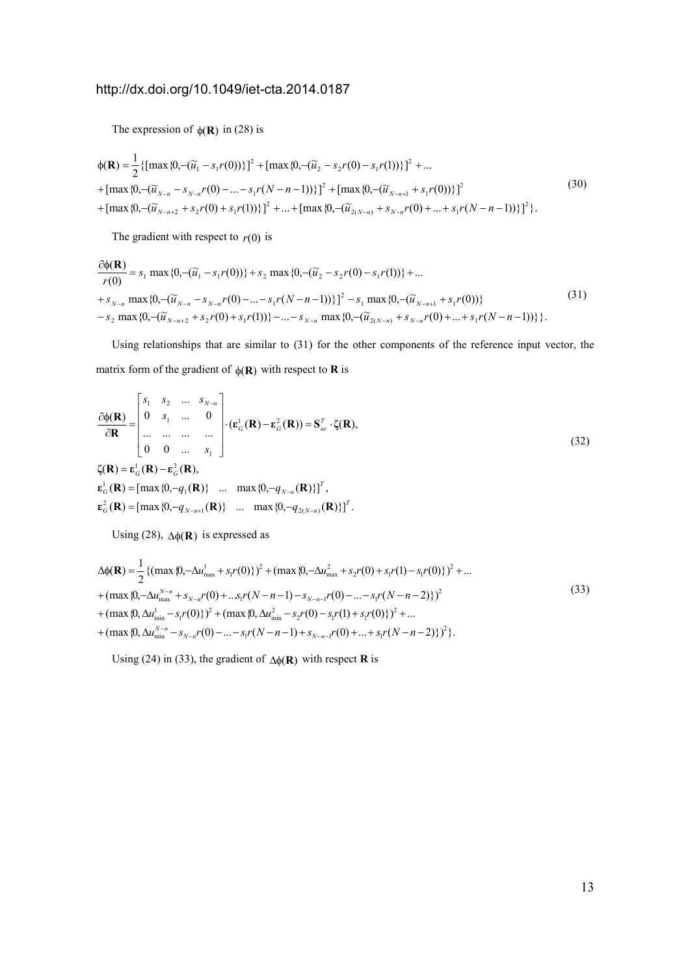The expression of  $\phi(\mathbf{R})$  in (28) is

$$
\phi(\mathbf{R}) = \frac{1}{2} \{ [\max\{0, -(\widetilde{u}_1 - s_1 r(0))\}]^2 + [\max\{0, -(\widetilde{u}_2 - s_2 r(0) - s_1 r(1))\}]^2 + \dots \n+ [\max\{0, -(\widetilde{u}_{N-n} - s_{N-n} r(0) - \dots - s_1 r(N-n-1))\}]^2 + [\max\{0, -(\widetilde{u}_{N-n+1} + s_1 r(0))\}]^2 \n+ [\max\{0, -(\widetilde{u}_{N-n+2} + s_2 r(0) + s_1 r(1))\}]^2 + \dots + [\max\{0, -(\widetilde{u}_{2(N-n)} + s_{N-n} r(0) + \dots + s_1 r(N-n-1))\}]^2 \}.
$$
\n(30)

The gradient with respect to  $r(0)$  is

$$
\frac{\partial \phi(\mathbf{R})}{r(0)} = s_1 \max \{0, -(\widetilde{u}_1 - s_1 r(0))\} + s_2 \max \{0, -(\widetilde{u}_2 - s_2 r(0) - s_1 r(1))\} + \dots + s_{N-n} \max \{0, -(\widetilde{u}_{N-n} - s_{N-n} r(0) - \dots - s_1 r(N-n-1))\}\}^2 - s_1 \max \{0, -(\widetilde{u}_{N-n+1} + s_1 r(0))\} - s_2 \max \{0, -(\widetilde{u}_{N-n+2} + s_2 r(0) + s_1 r(1))\} - \dots - s_{N-n} \max \{0, -(\widetilde{u}_{2(N-n)} + s_{N-n} r(0) + \dots + s_1 r(N-n-1))\}\}.
$$
\n(31)

Using relationships that are similar to (31) for the other components of the reference input vector, the matrix form of the gradient of  $\phi(\mathbf{R})$  with respect to **R** is

$$
\frac{\partial \phi(\mathbf{R})}{\partial \mathbf{R}} = \begin{bmatrix} s_1 & s_2 & \dots & s_{N-n} \\ 0 & s_1 & \dots & 0 \\ \dots & \dots & \dots & \dots \\ 0 & 0 & \dots & s_1 \end{bmatrix} \cdot (\mathbf{\varepsilon}_G^1(\mathbf{R}) - \mathbf{\varepsilon}_G^2(\mathbf{R})) = \mathbf{S}_{ur}^T \cdot \zeta(\mathbf{R}),
$$
\n
$$
\zeta(\mathbf{R}) = \mathbf{\varepsilon}_G^1(\mathbf{R}) - \mathbf{\varepsilon}_G^2(\mathbf{R}),
$$
\n
$$
\mathbf{\varepsilon}_G^1(\mathbf{R}) = [\max\{0, -q_1(\mathbf{R})\} \dots \max\{0, -q_{N-n}(\mathbf{R})\}]^T,
$$
\n
$$
\mathbf{\varepsilon}_G^2(\mathbf{R}) = [\max\{0, -q_{N-n+1}(\mathbf{R})\} \dots \max\{0, -q_{2(N-n)}(\mathbf{R})\}]^T.
$$
\n(32)

Using (28),  $\Delta \phi(\mathbf{R})$  is expressed as

$$
\Delta\phi(\mathbf{R}) = \frac{1}{2} \{ (\max\{0, -\Delta u_{\max}^1 + s_1 r(0)\})^2 + (\max\{0, -\Delta u_{\max}^2 + s_2 r(0) + s_1 r(1) - s_1 r(0)\})^2 + \dots \n+ (\max\{0, -\Delta u_{\max}^{N-n} + s_{N-n} r(0) + \dots s_1 r(N-n-1) - s_{N-n-1} r(0) - \dots - s_1 r(N-n-2)\})^2 \n+ (\max\{0, \Delta u_{\min}^1 - s_1 r(0)\})^2 + (\max\{0, \Delta u_{\min}^2 - s_2 r(0) - s_1 r(1) + s_1 r(0)\})^2 + \dots \n+ (\max\{0, \Delta u_{\min}^{N-n} - s_{N-n} r(0) - \dots - s_1 r(N-n-1) + s_{N-n-1} r(0) + \dots + s_1 r(N-n-2)\})^2 \}.
$$
\n(33)

Using (24) in (33), the gradient of ∆φ(**R**) with respect **R** is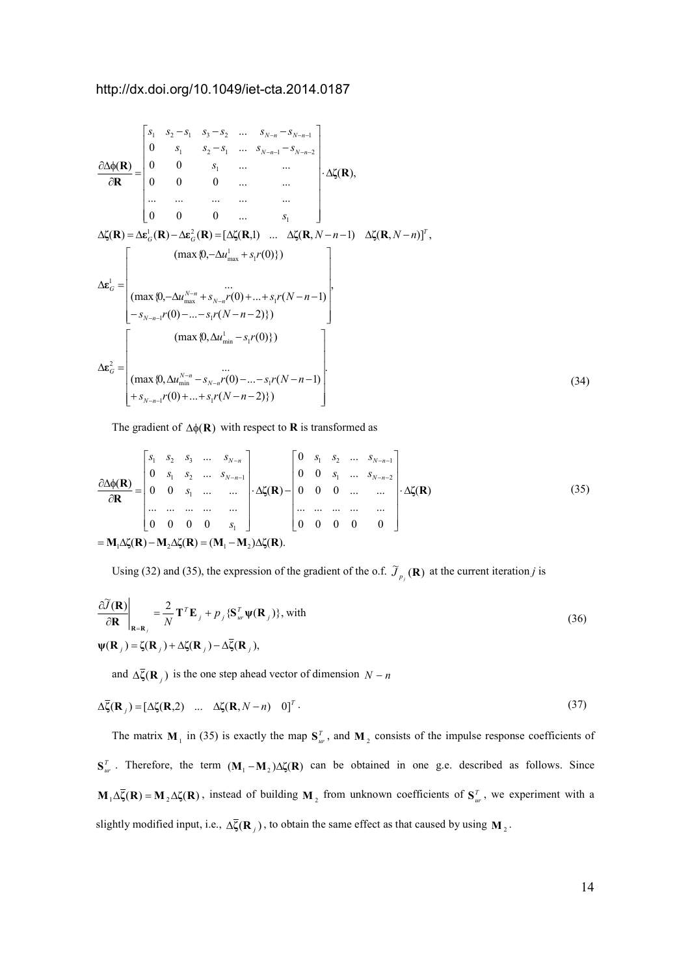$$
\frac{\partial \Delta \phi(\mathbf{R})}{\partial \mathbf{R}} = \begin{bmatrix}\ns_1 & s_2 - s_1 & s_3 - s_2 & \dots & s_{N-n} - s_{N-n-1} \\
0 & s_1 & s_2 - s_1 & \dots & s_{N-n-1} - s_{N-n-2} \\
0 & 0 & s_1 & \dots & \dots \\
0 & 0 & 0 & \dots & s_1\n\end{bmatrix} \cdot \Delta \zeta(\mathbf{R}),
$$
\n
$$
\Delta \zeta(\mathbf{R}) = \Delta \mathbf{\varepsilon}_G^1(\mathbf{R}) - \Delta \mathbf{\varepsilon}_G^2(\mathbf{R}) = [\Delta \zeta(\mathbf{R}, 1) & \dots & \Delta \zeta(\mathbf{R}, N-n-1) & \Delta \zeta(\mathbf{R}, N-n)]^T,
$$
\n
$$
\Delta \mathbf{\varepsilon}_G^1 = \begin{bmatrix}\n(\text{max } \{0, -\Delta u_{\text{max}}^N + s_{N-n} r(0) \} & \dots & \Delta \zeta(\mathbf{R}, N-n-1) \\
(\text{max } \{0, -\Delta u_{\text{max}}^N + s_{N-n} r(0) \} & \dots & \vdots \\
(\text{max } \{0, -\Delta u_{\text{max}}^{N-n} + s_{N-n} r(0) + \dots + s_1 r(N-n-1))\} & \dots \\
-s_{N-n-1} r(0) - \dots - s_1 r(N-n-2)\}\n\end{bmatrix},
$$
\n
$$
\Delta \mathbf{\varepsilon}_G^2 = \begin{bmatrix}\n(\text{max } \{0, \Delta u_{\text{min}}^{N-n} - s_{N-n} r(0) - \dots - s_1 r(N-n-1) \} \\
(\text{max } \{0, \Delta u_{\text{min}}^{N-n} - s_{N-n} r(0) - \dots - s_1 r(N-n-2)\} \\
+\frac{\sum_{i=1}^{N} r(i)}{r(i)} + \frac{\sum_{i=1}^{N} r(i)}{r(i)} + \frac{\sum_{i=1}^{N} r(i)}{r(i)} + \frac{\sum_{i=1}^{N} r(i)}{r(i)} + \frac{\sum_{i=1}^{N} r(i)}{r(i)} + \frac{\sum_{i=1}^{N} r(i)}{r(i)} + \frac{\sum_{i=1}^{N} r(i)}{r(i)} + \frac{\sum_{i=1}^{N} r(i)}{r(i)} + \frac{\sum_{
$$

The gradient of  $\Delta\phi(\mathbf{R})$  with respect to **R** is transformed as

$$
\frac{\partial \Delta \phi(\mathbf{R})}{\partial \mathbf{R}} = \begin{bmatrix} s_1 & s_2 & s_3 & \dots & s_{N-n} \\ 0 & s_1 & s_2 & \dots & s_{N-n-1} \\ 0 & 0 & s_1 & \dots & \dots & \dots \\ \dots & \dots & \dots & \dots & \dots & \dots \\ 0 & 0 & 0 & 0 & s_1 \end{bmatrix} \cdot \Delta \zeta(\mathbf{R}) - \begin{bmatrix} 0 & s_1 & s_2 & \dots & s_{N-n-1} \\ 0 & 0 & s_1 & \dots & s_{N-n-2} \\ 0 & 0 & 0 & \dots & \dots \\ \dots & \dots & \dots & \dots & \dots \\ 0 & 0 & 0 & 0 & 0 \end{bmatrix} \cdot \Delta \zeta(\mathbf{R})
$$
\n
$$
= \mathbf{M}_1 \Delta \zeta(\mathbf{R}) - \mathbf{M}_2 \Delta \zeta(\mathbf{R}) = (\mathbf{M}_1 - \mathbf{M}_2) \Delta \zeta(\mathbf{R}).
$$
\n(35)

Using (32) and (35), the expression of the gradient of the o.f.  $\tilde{J}_{p_j}(\mathbf{R})$  at the current iteration *j* is

$$
\frac{\partial \widetilde{J}(\mathbf{R})}{\partial \mathbf{R}}\Big|_{\mathbf{R}=\mathbf{R}_j} = \frac{2}{N} \mathbf{T}^T \mathbf{E}_j + p_j \{ \mathbf{S}_{ur}^T \boldsymbol{\psi}(\mathbf{R}_j) \}, \text{with}
$$
\n
$$
\boldsymbol{\psi}(\mathbf{R}_j) = \zeta(\mathbf{R}_j) + \Delta \zeta(\mathbf{R}_j) - \Delta \overline{\zeta}(\mathbf{R}_j),
$$
\n(36)

and  $\Delta \bar{\zeta}(\mathbf{R}_j)$  is the one step ahead vector of dimension  $N - n$ 

$$
\Delta \overline{\zeta}(\mathbf{R}_j) = [\Delta \zeta(\mathbf{R}, 2) \quad \dots \quad \Delta \zeta(\mathbf{R}, N - n) \quad 0]^T. \tag{37}
$$

The matrix  $M_1$  in (35) is exactly the map  $S_w^T$ , and  $M_2$  consists of the impulse response coefficients of  $S_{u}^T$ . Therefore, the term  $(M_1 - M_2) \Delta \zeta(R)$  can be obtained in one g.e. described as follows. Since  $M_1 \Delta \bar{\zeta}(R) = M_2 \Delta \zeta(R)$ , instead of building  $M_2$  from unknown coefficients of  $S_w^T$ , we experiment with a slightly modified input, i.e.,  $\Delta \bar{\zeta}(\mathbf{R}_j)$ , to obtain the same effect as that caused by using  $\mathbf{M}_2$ .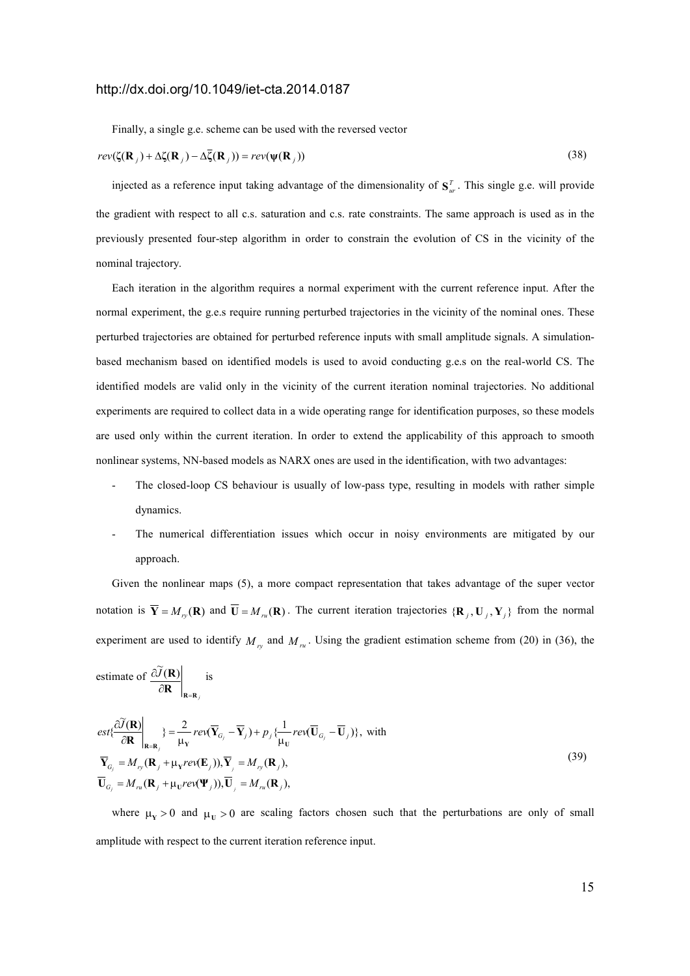Finally, a single g.e. scheme can be used with the reversed vector

$$
rev(\zeta(\mathbf{R}_j) + \Delta \zeta(\mathbf{R}_j) - \Delta \overline{\zeta}(\mathbf{R}_j)) = rev(\psi(\mathbf{R}_j))
$$
\n(38)

injected as a reference input taking advantage of the dimensionality of  $S_{ur}^T$ . This single g.e. will provide the gradient with respect to all c.s. saturation and c.s. rate constraints. The same approach is used as in the previously presented four-step algorithm in order to constrain the evolution of CS in the vicinity of the nominal trajectory.

Each iteration in the algorithm requires a normal experiment with the current reference input. After the normal experiment, the g.e.s require running perturbed trajectories in the vicinity of the nominal ones. These perturbed trajectories are obtained for perturbed reference inputs with small amplitude signals. A simulationbased mechanism based on identified models is used to avoid conducting g.e.s on the real-world CS. The identified models are valid only in the vicinity of the current iteration nominal trajectories. No additional experiments are required to collect data in a wide operating range for identification purposes, so these models are used only within the current iteration. In order to extend the applicability of this approach to smooth nonlinear systems, NN-based models as NARX ones are used in the identification, with two advantages:

- The closed-loop CS behaviour is usually of low-pass type, resulting in models with rather simple dynamics.
- The numerical differentiation issues which occur in noisy environments are mitigated by our approach.

Given the nonlinear maps (5), a more compact representation that takes advantage of the super vector notation is  $\overline{Y} = M_{r_y}(R)$  and  $U = M_{r_u}(R)$ . The current iteration trajectories  $\{R_j, U_j, Y_j\}$  from the normal experiment are used to identify  $M_{r_y}$  and  $M_{r_u}$ . Using the gradient estimation scheme from (20) in (36), the

estimate of 
$$
\frac{\partial \widetilde{J}(\mathbf{R})}{\partial \mathbf{R}}\Big|_{\mathbf{R}=\mathbf{R}_j}
$$
 is

$$
est{\frac{\partial \widetilde{J}(\mathbf{R})}{\partial \mathbf{R}}}\Big|_{\mathbf{R}=\mathbf{R}_{j}} = \frac{2}{\mu_{\mathbf{Y}}}rev(\overline{\mathbf{Y}}_{G_{j}} - \overline{\mathbf{Y}}_{j}) + p_{j}\{\frac{1}{\mu_{\mathbf{U}}}rev(\overline{\mathbf{U}}_{G_{j}} - \overline{\mathbf{U}}_{j})\}, \text{ with}
$$
  
\n
$$
\overline{\mathbf{Y}}_{G_{j}} = M_{ry}(\mathbf{R}_{j} + \mu_{\mathbf{V}}rev(\mathbf{E}_{j})), \overline{\mathbf{Y}}_{j} = M_{ry}(\mathbf{R}_{j}),
$$
  
\n
$$
\overline{\mathbf{U}}_{G_{j}} = M_{ru}(\mathbf{R}_{j} + \mu_{\mathbf{U}}rev(\mathbf{\Psi}_{j})), \overline{\mathbf{U}}_{j} = M_{ru}(\mathbf{R}_{j}),
$$
\n(39)

where  $\mu_Y > 0$  and  $\mu_U > 0$  are scaling factors chosen such that the perturbations are only of small amplitude with respect to the current iteration reference input.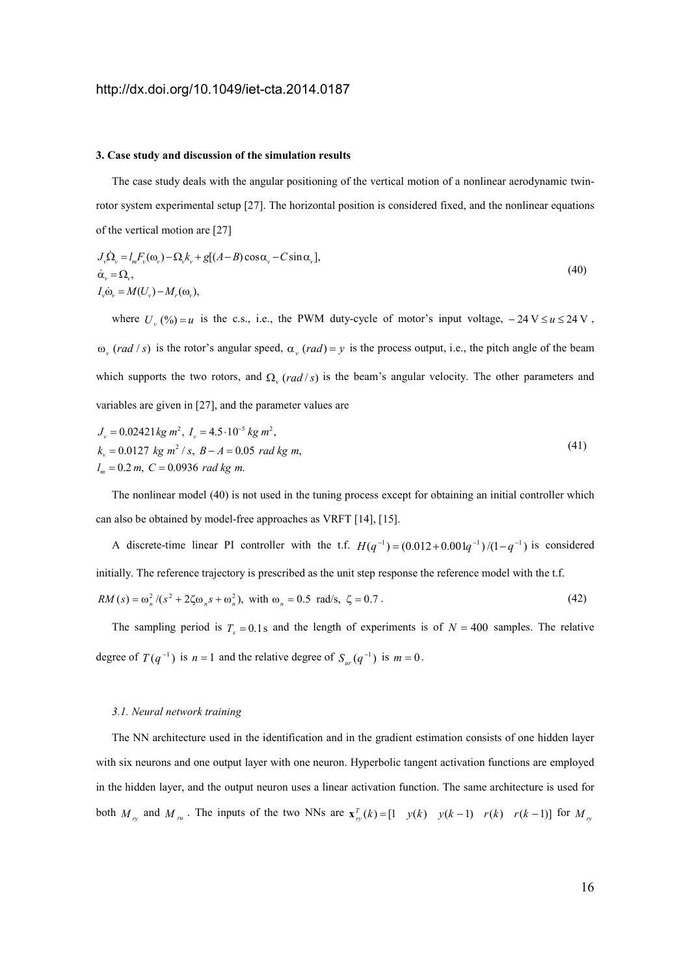#### **3. Case study and discussion of the simulation results**

The case study deals with the angular positioning of the vertical motion of a nonlinear aerodynamic twinrotor system experimental setup [27]. The horizontal position is considered fixed, and the nonlinear equations of the vertical motion are [27]

$$
J_{\nu}\dot{\Omega}_{\nu} = l_{m}F_{\nu}(\omega_{\nu}) - \Omega_{\nu}k_{\nu} + g[(A-B)\cos\alpha_{\nu} - C\sin\alpha_{\nu}],
$$
  
\n
$$
\dot{\alpha}_{\nu} = \Omega_{\nu},
$$
  
\n
$$
I_{\nu}\dot{\omega}_{\nu} = M(U_{\nu}) - M_{\nu}(\omega_{\nu}),
$$
\n(40)

where  $U_y$  (%) = *u* is the c.s., i.e., the PWM duty-cycle of motor's input voltage,  $-24 \text{ V} \le u \le 24 \text{ V}$ ,  $\omega$ <sub>v</sub> (*rad* / *s*) is the rotor's angular speed,  $\alpha$ <sub>v</sub> (*rad*) = *y* is the process output, i.e., the pitch angle of the beam which supports the two rotors, and  $\Omega$ <sub>*v*</sub> (*rad* /*s*) is the beam's angular velocity. The other parameters and variables are given in [27], and the parameter values are

$$
J_v = 0.02421 kg m^2, I_v = 4.5 \cdot 10^{-5} kg m^2,
$$
  
\n
$$
k_v = 0.0127 kg m^2 / s, B - A = 0.05 rad kg m,
$$
  
\n
$$
l_m = 0.2 m, C = 0.0936 rad kg m.
$$
\n(41)

The nonlinear model (40) is not used in the tuning process except for obtaining an initial controller which can also be obtained by model-free approaches as VRFT [14], [15].

A discrete-time linear PI controller with the t.f.  $H(q^{-1}) = (0.012 + 0.001q^{-1})/(1 - q^{-1})$  is considered initially. The reference trajectory is prescribed as the unit step response the reference model with the t.f.  $RM(s) = \omega_n^2 / (s^2 + 2\zeta\omega_n s + \omega_n^2)$ , with  $\omega_n = 0.5$  rad/s,  $\zeta = 0.7$ . (42)

The sampling period is  $T_s = 0.1$  s and the length of experiments is of  $N = 400$  samples. The relative degree of  $T(q^{-1})$  is  $n = 1$  and the relative degree of  $S_{w}(q^{-1})$  is  $m = 0$ .

#### *3.1. )eural network training*

The NN architecture used in the identification and in the gradient estimation consists of one hidden layer with six neurons and one output layer with one neuron. Hyperbolic tangent activation functions are employed in the hidden layer, and the output neuron uses a linear activation function. The same architecture is used for both  $M_{r_y}$  and  $M_{r_u}$ . The inputs of the two NNs are  $\mathbf{x}_{r_y}^T(k) = \begin{bmatrix} 1 & y(k) & y(k-1) & r(k) & r(k-1) \end{bmatrix}$  for  $M_{r_y}$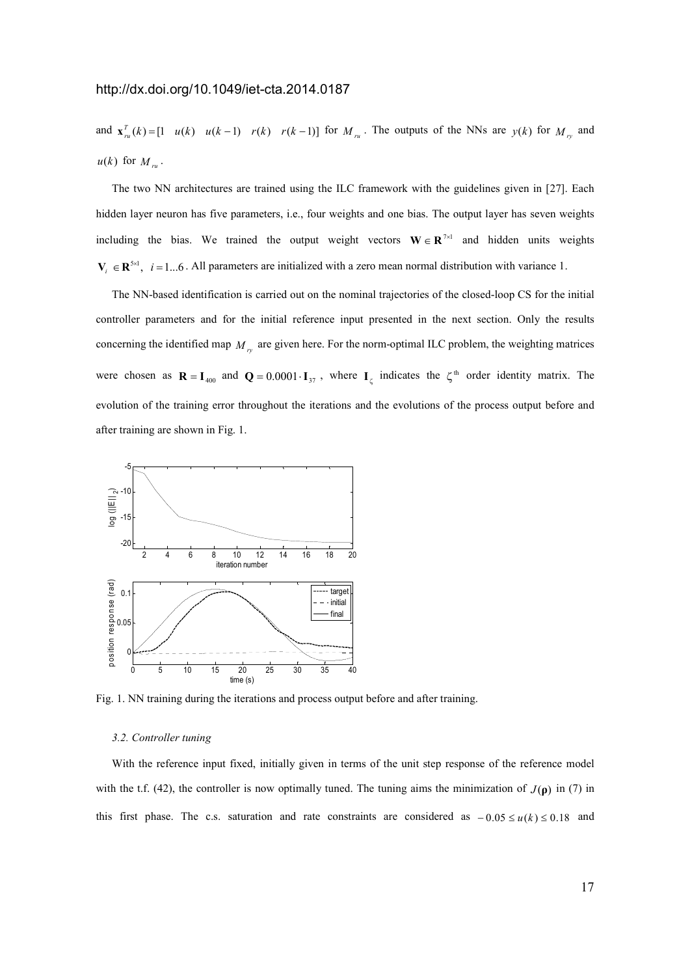and  $\mathbf{x}_{n}(k) = \begin{bmatrix} 1 & u(k) & u(k-1) & r(k) & r(k-1) \end{bmatrix}$  for  $M_{n}$ . The outputs of the NNs are  $y(k)$  for  $M_{n}$  and  $u(k)$  for  $M_{ru}$ .

The two NN architectures are trained using the ILC framework with the guidelines given in [27]. Each hidden layer neuron has five parameters, i.e., four weights and one bias. The output layer has seven weights including the bias. We trained the output weight vectors  $W \in \mathbb{R}^{7 \times 1}$  and hidden units weights  $V_i \in \mathbb{R}^{5 \times 1}$ ,  $i = 1...6$ . All parameters are initialized with a zero mean normal distribution with variance 1.

The NN-based identification is carried out on the nominal trajectories of the closed-loop CS for the initial controller parameters and for the initial reference input presented in the next section. Only the results concerning the identified map  $M_{r_y}$  are given here. For the norm-optimal ILC problem, the weighting matrices were chosen as  $\mathbf{R} = \mathbf{I}_{400}$  and  $\mathbf{Q} = 0.0001 \cdot \mathbf{I}_{37}$ , where  $\mathbf{I}_{\zeta}$  indicates the  $\zeta^{\text{th}}$  order identity matrix. The evolution of the training error throughout the iterations and the evolutions of the process output before and after training are shown in Fig. 1.



Fig. 1. NN training during the iterations and process output before and after training.

### *3.2. Controller tuning*

With the reference input fixed, initially given in terms of the unit step response of the reference model with the t.f. (42), the controller is now optimally tuned. The tuning aims the minimization of  $J(\rho)$  in (7) in this first phase. The c.s. saturation and rate constraints are considered as  $-0.05 \le u(k) \le 0.18$  and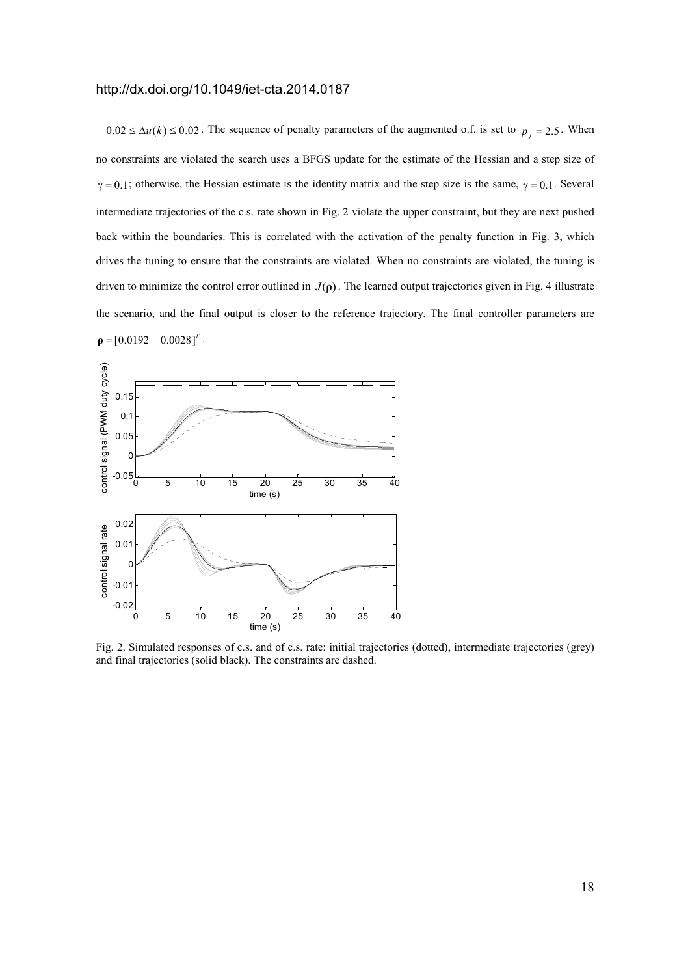$-0.02 \le \Delta u(k) \le 0.02$ . The sequence of penalty parameters of the augmented o.f. is set to  $p_j = 2.5$ . When no constraints are violated the search uses a BFGS update for the estimate of the Hessian and a step size of  $\gamma = 0.1$ ; otherwise, the Hessian estimate is the identity matrix and the step size is the same,  $\gamma = 0.1$ . Several intermediate trajectories of the c.s. rate shown in Fig. 2 violate the upper constraint, but they are next pushed back within the boundaries. This is correlated with the activation of the penalty function in Fig. 3, which drives the tuning to ensure that the constraints are violated. When no constraints are violated, the tuning is driven to minimize the control error outlined in  $J(\rho)$ . The learned output trajectories given in Fig. 4 illustrate the scenario, and the final output is closer to the reference trajectory. The final controller parameters are  $\rho = [0.0192 \quad 0.0028]^T$ .



Fig. 2. Simulated responses of c.s. and of c.s. rate: initial trajectories (dotted), intermediate trajectories (grey) and final trajectories (solid black). The constraints are dashed.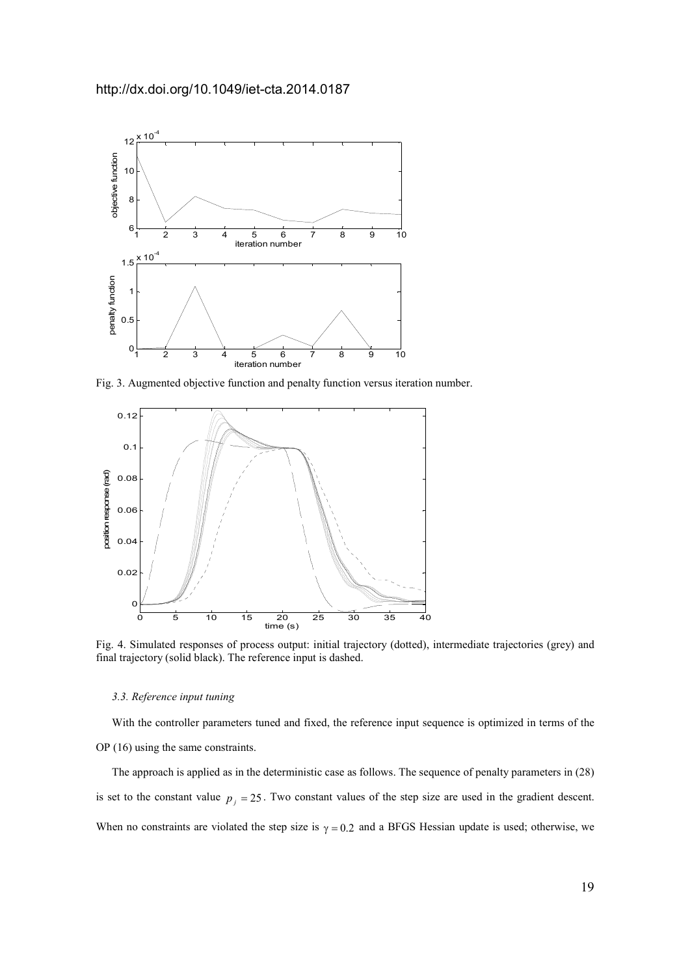

Fig. 3. Augmented objective function and penalty function versus iteration number.



Fig. 4. Simulated responses of process output: initial trajectory (dotted), intermediate trajectories (grey) and final trajectory (solid black). The reference input is dashed.

## *3.3. Reference input tuning*

With the controller parameters tuned and fixed, the reference input sequence is optimized in terms of the OP (16) using the same constraints.

The approach is applied as in the deterministic case as follows. The sequence of penalty parameters in (28) is set to the constant value  $p_j = 25$ . Two constant values of the step size are used in the gradient descent. When no constraints are violated the step size is  $\gamma = 0.2$  and a BFGS Hessian update is used; otherwise, we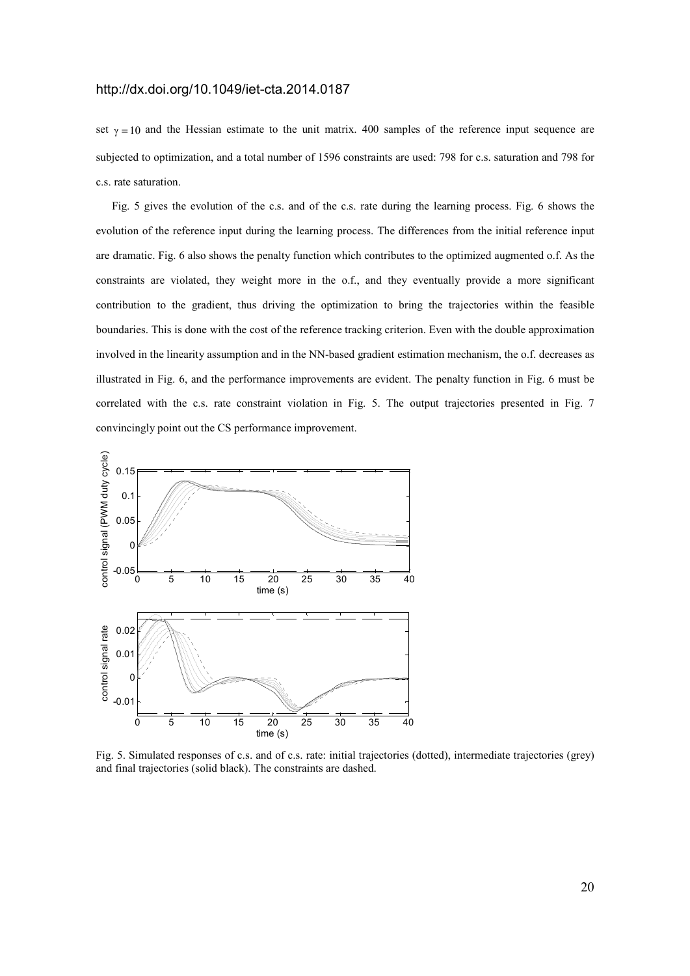set  $\gamma = 10$  and the Hessian estimate to the unit matrix. 400 samples of the reference input sequence are subjected to optimization, and a total number of 1596 constraints are used: 798 for c.s. saturation and 798 for c.s. rate saturation.

Fig. 5 gives the evolution of the c.s. and of the c.s. rate during the learning process. Fig. 6 shows the evolution of the reference input during the learning process. The differences from the initial reference input are dramatic. Fig. 6 also shows the penalty function which contributes to the optimized augmented o.f. As the constraints are violated, they weight more in the o.f., and they eventually provide a more significant contribution to the gradient, thus driving the optimization to bring the trajectories within the feasible boundaries. This is done with the cost of the reference tracking criterion. Even with the double approximation involved in the linearity assumption and in the NN-based gradient estimation mechanism, the o.f. decreases as illustrated in Fig. 6, and the performance improvements are evident. The penalty function in Fig. 6 must be correlated with the c.s. rate constraint violation in Fig. 5. The output trajectories presented in Fig. 7 convincingly point out the CS performance improvement.



Fig. 5. Simulated responses of c.s. and of c.s. rate: initial trajectories (dotted), intermediate trajectories (grey) and final trajectories (solid black). The constraints are dashed.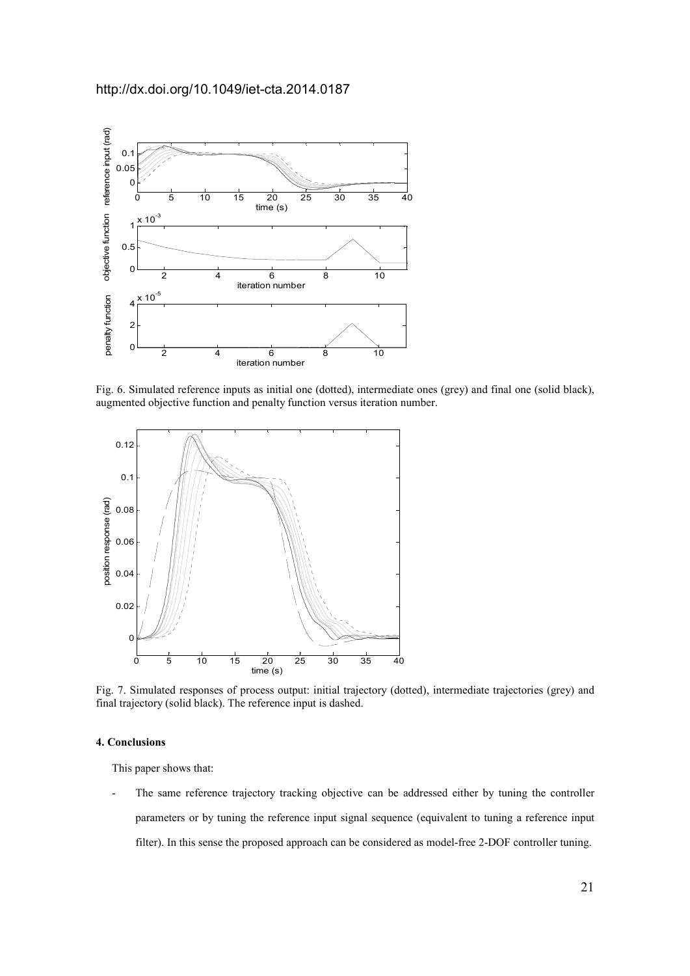

Fig. 6. Simulated reference inputs as initial one (dotted), intermediate ones (grey) and final one (solid black), augmented objective function and penalty function versus iteration number.



Fig. 7. Simulated responses of process output: initial trajectory (dotted), intermediate trajectories (grey) and final trajectory (solid black). The reference input is dashed.

# **4. Conclusions**

This paper shows that:

The same reference trajectory tracking objective can be addressed either by tuning the controller parameters or by tuning the reference input signal sequence (equivalent to tuning a reference input filter). In this sense the proposed approach can be considered as model-free 2-DOF controller tuning.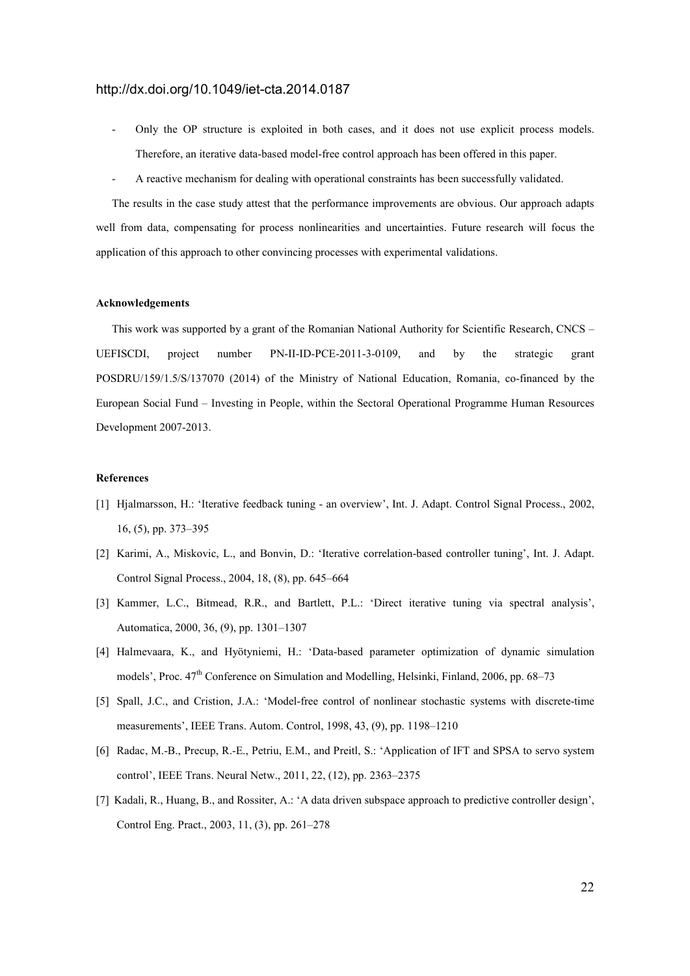- Only the OP structure is exploited in both cases, and it does not use explicit process models. Therefore, an iterative data-based model-free control approach has been offered in this paper.
- A reactive mechanism for dealing with operational constraints has been successfully validated.

The results in the case study attest that the performance improvements are obvious. Our approach adapts well from data, compensating for process nonlinearities and uncertainties. Future research will focus the application of this approach to other convincing processes with experimental validations.

### **Acknowledgements**

This work was supported by a grant of the Romanian National Authority for Scientific Research, CNCS – UEFISCDI, project number PN-II-ID-PCE-2011-3-0109, and by the strategic grant POSDRU/159/1.5/S/137070 (2014) of the Ministry of National Education, Romania, co-financed by the European Social Fund – Investing in People, within the Sectoral Operational Programme Human Resources Development 2007-2013.

## **References**

- [1] Hjalmarsson, H.: 'Iterative feedback tuning an overview', Int. J. Adapt. Control Signal Process., 2002, 16, (5), pp. 373–395
- [2] Karimi, A., Miskovic, L., and Bonvin, D.: 'Iterative correlation-based controller tuning', Int. J. Adapt. Control Signal Process., 2004, 18, (8), pp. 645–664
- [3] Kammer, L.C., Bitmead, R.R., and Bartlett, P.L.: 'Direct iterative tuning via spectral analysis', Automatica, 2000, 36, (9), pp. 1301–1307
- [4] Halmevaara, K., and Hyötyniemi, H.: 'Data-based parameter optimization of dynamic simulation models', Proc.  $47<sup>th</sup>$  Conference on Simulation and Modelling, Helsinki, Finland, 2006, pp. 68–73
- [5] Spall, J.C., and Cristion, J.A.: 'Model-free control of nonlinear stochastic systems with discrete-time measurements', IEEE Trans. Autom. Control, 1998, 43, (9), pp. 1198–1210
- [6] Radac, M.-B., Precup, R.-E., Petriu, E.M., and Preitl, S.: 'Application of IFT and SPSA to servo system control', IEEE Trans. Neural Netw., 2011, 22, (12), pp. 2363–2375
- [7] Kadali, R., Huang, B., and Rossiter, A.: 'A data driven subspace approach to predictive controller design', Control Eng. Pract., 2003, 11, (3), pp. 261–278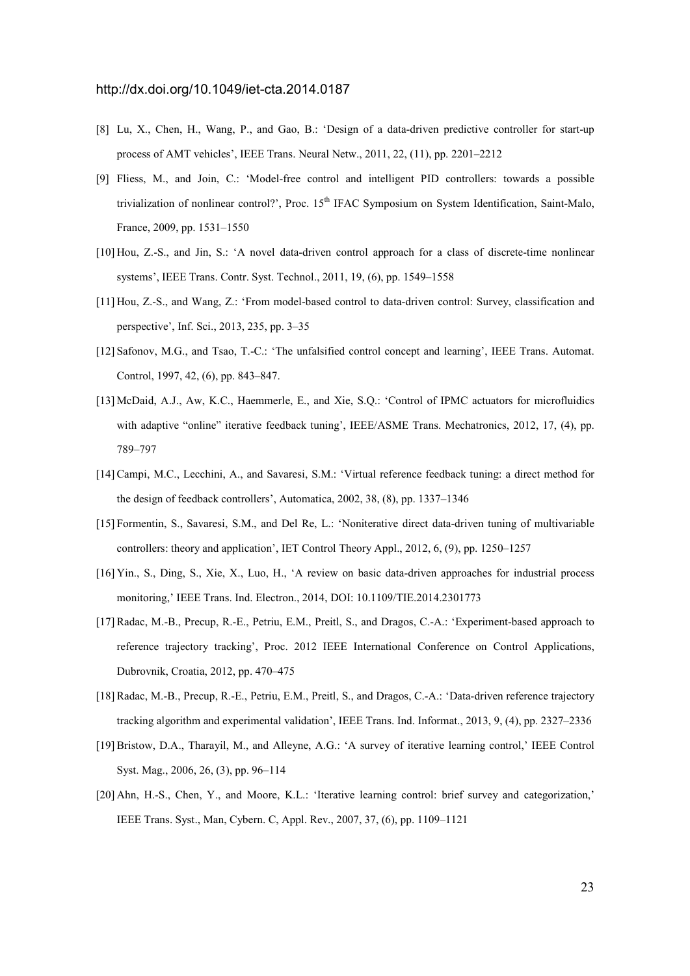- [8] Lu, X., Chen, H., Wang, P., and Gao, B.: 'Design of a data-driven predictive controller for start-up process of AMT vehicles', IEEE Trans. Neural Netw., 2011, 22, (11), pp. 2201–2212
- [9] Fliess, M., and Join, C.: 'Model-free control and intelligent PID controllers: towards a possible trivialization of nonlinear control?', Proc. 15<sup>th</sup> IFAC Symposium on System Identification, Saint-Malo, France, 2009, pp. 1531–1550
- [10] Hou, Z.-S., and Jin, S.: 'A novel data-driven control approach for a class of discrete-time nonlinear systems', IEEE Trans. Contr. Syst. Technol., 2011, 19, (6), pp. 1549–1558
- [11] Hou, Z.-S., and Wang, Z.: 'From model-based control to data-driven control: Survey, classification and perspective', Inf. Sci., 2013, 235, pp. 3–35
- [12] Safonov, M.G., and Tsao, T.-C.: 'The unfalsified control concept and learning', IEEE Trans. Automat. Control, 1997, 42, (6), pp. 843–847.
- [13] McDaid, A.J., Aw, K.C., Haemmerle, E., and Xie, S.Q.: 'Control of IPMC actuators for microfluidics with adaptive "online" iterative feedback tuning', IEEE/ASME Trans. Mechatronics, 2012, 17, (4), pp. 789–797
- [14] Campi, M.C., Lecchini, A., and Savaresi, S.M.: 'Virtual reference feedback tuning: a direct method for the design of feedback controllers', Automatica, 2002, 38, (8), pp. 1337–1346
- [15] Formentin, S., Savaresi, S.M., and Del Re, L.: 'Noniterative direct data-driven tuning of multivariable controllers: theory and application', IET Control Theory Appl., 2012, 6, (9), pp. 1250–1257
- [16] Yin., S., Ding, S., Xie, X., Luo, H., 'A review on basic data-driven approaches for industrial process monitoring,' IEEE Trans. Ind. Electron., 2014, DOI: 10.1109/TIE.2014.2301773
- [17] Radac, M.-B., Precup, R.-E., Petriu, E.M., Preitl, S., and Dragos, C.-A.: 'Experiment-based approach to reference trajectory tracking', Proc. 2012 IEEE International Conference on Control Applications, Dubrovnik, Croatia, 2012, pp. 470–475
- [18] Radac, M.-B., Precup, R.-E., Petriu, E.M., Preitl, S., and Dragos, C.-A.: 'Data-driven reference trajectory tracking algorithm and experimental validation', IEEE Trans. Ind. Informat., 2013, 9, (4), pp. 2327–2336
- [19] Bristow, D.A., Tharayil, M., and Alleyne, A.G.: 'A survey of iterative learning control,' IEEE Control Syst. Mag., 2006, 26, (3), pp. 96–114
- [20] Ahn, H.-S., Chen, Y., and Moore, K.L.: 'Iterative learning control: brief survey and categorization,' IEEE Trans. Syst., Man, Cybern. C, Appl. Rev., 2007, 37, (6), pp. 1109–1121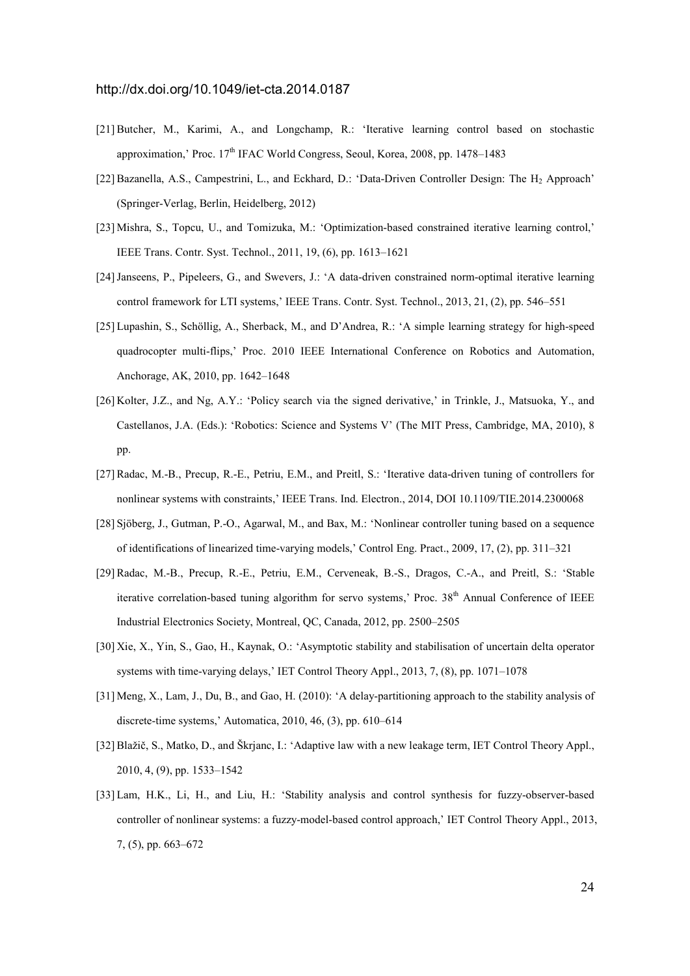- [21] Butcher, M., Karimi, A., and Longchamp, R.: 'Iterative learning control based on stochastic approximation,' Proc. 17<sup>th</sup> IFAC World Congress, Seoul, Korea, 2008, pp. 1478–1483
- [22] Bazanella, A.S., Campestrini, L., and Eckhard, D.: 'Data-Driven Controller Design: The H<sub>2</sub> Approach' (Springer-Verlag, Berlin, Heidelberg, 2012)
- [23] Mishra, S., Topcu, U., and Tomizuka, M.: 'Optimization-based constrained iterative learning control,' IEEE Trans. Contr. Syst. Technol., 2011, 19, (6), pp. 1613–1621
- [24] Janseens, P., Pipeleers, G., and Swevers, J.: 'A data-driven constrained norm-optimal iterative learning control framework for LTI systems,' IEEE Trans. Contr. Syst. Technol., 2013, 21, (2), pp. 546–551
- [25] Lupashin, S., Schöllig, A., Sherback, M., and D'Andrea, R.: 'A simple learning strategy for high-speed quadrocopter multi-flips,' Proc. 2010 IEEE International Conference on Robotics and Automation, Anchorage, AK, 2010, pp. 1642–1648
- [26] Kolter, J.Z., and Ng, A.Y.: 'Policy search via the signed derivative,' in Trinkle, J., Matsuoka, Y., and Castellanos, J.A. (Eds.): 'Robotics: Science and Systems V' (The MIT Press, Cambridge, MA, 2010), 8 pp.
- [27] Radac, M.-B., Precup, R.-E., Petriu, E.M., and Preitl, S.: 'Iterative data-driven tuning of controllers for nonlinear systems with constraints,' IEEE Trans. Ind. Electron., 2014, DOI 10.1109/TIE.2014.2300068
- [28] Sjöberg, J., Gutman, P.-O., Agarwal, M., and Bax, M.: 'Nonlinear controller tuning based on a sequence of identifications of linearized time-varying models,' Control Eng. Pract., 2009, 17, (2), pp. 311–321
- [29] Radac, M.-B., Precup, R.-E., Petriu, E.M., Cerveneak, B.-S., Dragos, C.-A., and Preitl, S.: 'Stable iterative correlation-based tuning algorithm for servo systems,' Proc. 38<sup>th</sup> Annual Conference of IEEE Industrial Electronics Society, Montreal, QC, Canada, 2012, pp. 2500–2505
- [30] Xie, X., Yin, S., Gao, H., Kaynak, O.: 'Asymptotic stability and stabilisation of uncertain delta operator systems with time-varying delays,' IET Control Theory Appl., 2013, 7, (8), pp. 1071–1078
- [31] Meng, X., Lam, J., Du, B., and Gao, H. (2010): 'A delay-partitioning approach to the stability analysis of discrete-time systems,' Automatica, 2010, 46, (3), pp. 610–614
- [32] Blažič, S., Matko, D., and Škrjanc, I.: 'Adaptive law with a new leakage term, IET Control Theory Appl., 2010, 4, (9), pp. 1533–1542
- [33] Lam, H.K., Li, H., and Liu, H.: 'Stability analysis and control synthesis for fuzzy-observer-based controller of nonlinear systems: a fuzzy-model-based control approach,' IET Control Theory Appl., 2013, 7, (5), pp. 663–672